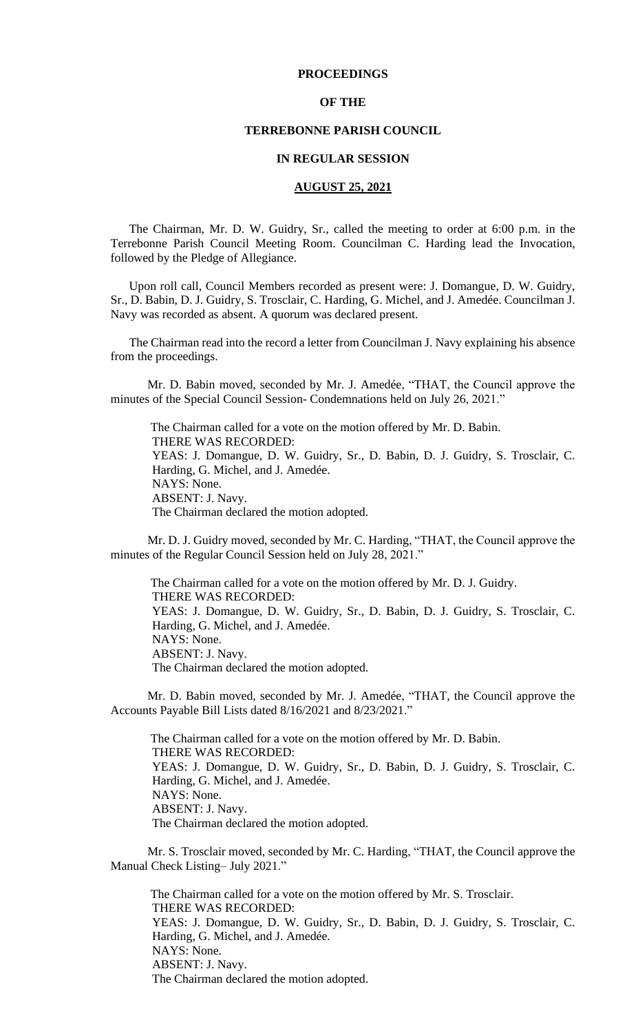#### **PROCEEDINGS**

#### **OF THE**

#### **TERREBONNE PARISH COUNCIL**

#### **IN REGULAR SESSION**

#### **AUGUST 25, 2021**

The Chairman, Mr. D. W. Guidry, Sr., called the meeting to order at 6:00 p.m. in the Terrebonne Parish Council Meeting Room. Councilman C. Harding lead the Invocation, followed by the Pledge of Allegiance.

Upon roll call, Council Members recorded as present were: J. Domangue, D. W. Guidry, Sr., D. Babin, D. J. Guidry, S. Trosclair, C. Harding, G. Michel, and J. Amedée. Councilman J. Navy was recorded as absent. A quorum was declared present.

The Chairman read into the record a letter from Councilman J. Navy explaining his absence from the proceedings.

Mr. D. Babin moved, seconded by Mr. J. Amedée, "THAT, the Council approve the minutes of the Special Council Session- Condemnations held on July 26, 2021."

 The Chairman called for a vote on the motion offered by Mr. D. Babin. THERE WAS RECORDED: YEAS: J. Domangue, D. W. Guidry, Sr., D. Babin, D. J. Guidry, S. Trosclair, C. Harding, G. Michel, and J. Amedée. NAYS: None. ABSENT: J. Navy. The Chairman declared the motion adopted.

Mr. D. J. Guidry moved, seconded by Mr. C. Harding, "THAT, the Council approve the minutes of the Regular Council Session held on July 28, 2021."

 The Chairman called for a vote on the motion offered by Mr. D. J. Guidry. THERE WAS RECORDED: YEAS: J. Domangue, D. W. Guidry, Sr., D. Babin, D. J. Guidry, S. Trosclair, C. Harding, G. Michel, and J. Amedée. NAYS: None. ABSENT: J. Navy. The Chairman declared the motion adopted.

Mr. D. Babin moved, seconded by Mr. J. Amedée, "THAT, the Council approve the Accounts Payable Bill Lists dated 8/16/2021 and 8/23/2021."

The Chairman called for a vote on the motion offered by Mr. D. Babin. THERE WAS RECORDED: YEAS: J. Domangue, D. W. Guidry, Sr., D. Babin, D. J. Guidry, S. Trosclair, C. Harding, G. Michel, and J. Amedée. NAYS: None. ABSENT: J. Navy. The Chairman declared the motion adopted.

Mr. S. Trosclair moved, seconded by Mr. C. Harding, "THAT, the Council approve the Manual Check Listing– July 2021."

The Chairman called for a vote on the motion offered by Mr. S. Trosclair. THERE WAS RECORDED: YEAS: J. Domangue, D. W. Guidry, Sr., D. Babin, D. J. Guidry, S. Trosclair, C. Harding, G. Michel, and J. Amedée. NAYS: None. ABSENT: J. Navy. The Chairman declared the motion adopted.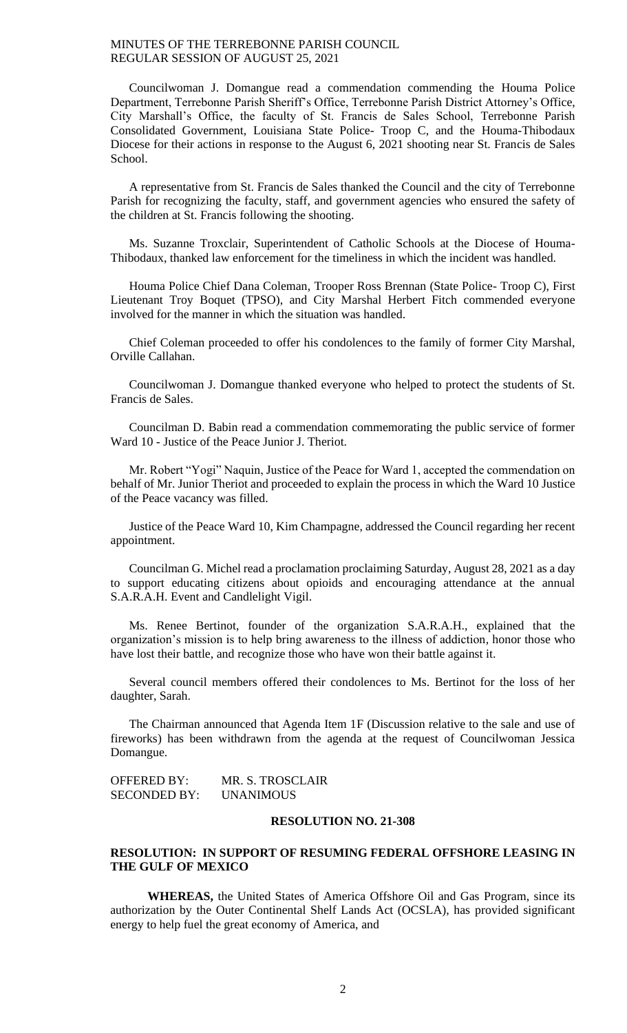Councilwoman J. Domangue read a commendation commending the Houma Police Department, Terrebonne Parish Sheriff's Office, Terrebonne Parish District Attorney's Office, City Marshall's Office, the faculty of St. Francis de Sales School, Terrebonne Parish Consolidated Government, Louisiana State Police- Troop C, and the Houma-Thibodaux Diocese for their actions in response to the August 6, 2021 shooting near St. Francis de Sales School.

A representative from St. Francis de Sales thanked the Council and the city of Terrebonne Parish for recognizing the faculty, staff, and government agencies who ensured the safety of the children at St. Francis following the shooting.

Ms. Suzanne Troxclair, Superintendent of Catholic Schools at the Diocese of Houma-Thibodaux, thanked law enforcement for the timeliness in which the incident was handled.

Houma Police Chief Dana Coleman, Trooper Ross Brennan (State Police- Troop C), First Lieutenant Troy Boquet (TPSO), and City Marshal Herbert Fitch commended everyone involved for the manner in which the situation was handled.

Chief Coleman proceeded to offer his condolences to the family of former City Marshal, Orville Callahan.

Councilwoman J. Domangue thanked everyone who helped to protect the students of St. Francis de Sales.

Councilman D. Babin read a commendation commemorating the public service of former Ward 10 - Justice of the Peace Junior J. Theriot.

Mr. Robert "Yogi" Naquin, Justice of the Peace for Ward 1, accepted the commendation on behalf of Mr. Junior Theriot and proceeded to explain the process in which the Ward 10 Justice of the Peace vacancy was filled.

Justice of the Peace Ward 10, Kim Champagne, addressed the Council regarding her recent appointment.

Councilman G. Michel read a proclamation proclaiming Saturday, August 28, 2021 as a day to support educating citizens about opioids and encouraging attendance at the annual S.A.R.A.H. Event and Candlelight Vigil.

Ms. Renee Bertinot, founder of the organization S.A.R.A.H., explained that the organization's mission is to help bring awareness to the illness of addiction, honor those who have lost their battle, and recognize those who have won their battle against it.

Several council members offered their condolences to Ms. Bertinot for the loss of her daughter, Sarah.

The Chairman announced that Agenda Item 1F (Discussion relative to the sale and use of fireworks) has been withdrawn from the agenda at the request of Councilwoman Jessica Domangue.

OFFERED BY: MR. S. TROSCLAIR SECONDED BY: UNANIMOUS

## **RESOLUTION NO. 21-308**

## **RESOLUTION: IN SUPPORT OF RESUMING FEDERAL OFFSHORE LEASING IN THE GULF OF MEXICO**

**WHEREAS,** the United States of America Offshore Oil and Gas Program, since its authorization by the Outer Continental Shelf Lands Act (OCSLA), has provided significant energy to help fuel the great economy of America, and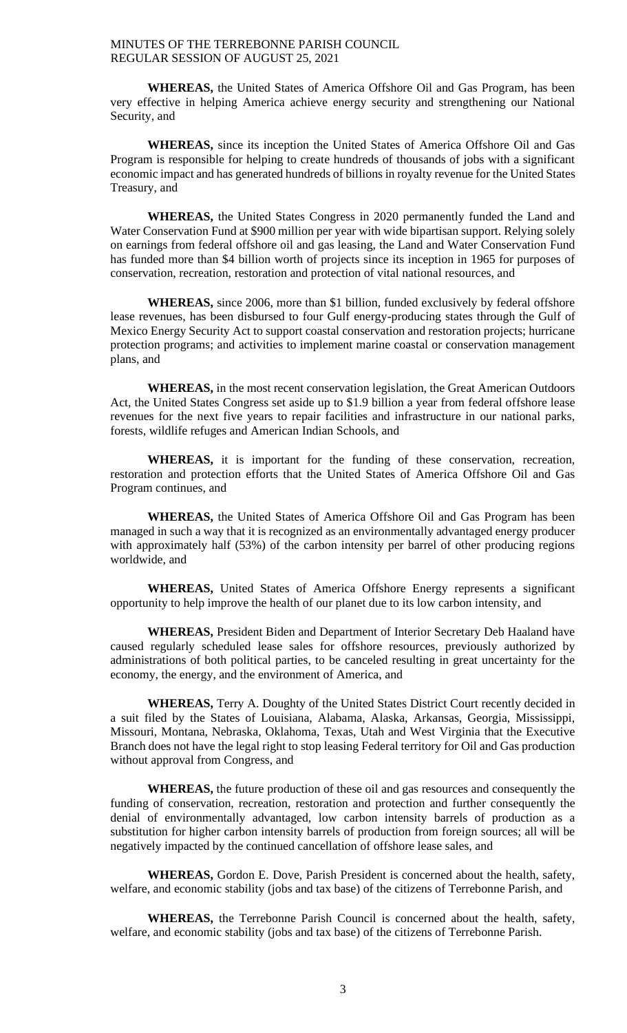**WHEREAS,** the United States of America Offshore Oil and Gas Program, has been very effective in helping America achieve energy security and strengthening our National Security, and

**WHEREAS,** since its inception the United States of America Offshore Oil and Gas Program is responsible for helping to create hundreds of thousands of jobs with a significant economic impact and has generated hundreds of billions in royalty revenue for the United States Treasury, and

**WHEREAS,** the United States Congress in 2020 permanently funded the Land and Water Conservation Fund at \$900 million per year with wide bipartisan support. Relying solely on earnings from federal offshore oil and gas leasing, the Land and Water Conservation Fund has funded more than \$4 billion worth of projects since its inception in 1965 for purposes of conservation, recreation, restoration and protection of vital national resources, and

**WHEREAS,** since 2006, more than \$1 billion, funded exclusively by federal offshore lease revenues, has been disbursed to four Gulf energy-producing states through the Gulf of Mexico Energy Security Act to support coastal conservation and restoration projects; hurricane protection programs; and activities to implement marine coastal or conservation management plans, and

**WHEREAS,** in the most recent conservation legislation, the Great American Outdoors Act, the United States Congress set aside up to \$1.9 billion a year from federal offshore lease revenues for the next five years to repair facilities and infrastructure in our national parks, forests, wildlife refuges and American Indian Schools, and

**WHEREAS,** it is important for the funding of these conservation, recreation, restoration and protection efforts that the United States of America Offshore Oil and Gas Program continues, and

**WHEREAS,** the United States of America Offshore Oil and Gas Program has been managed in such a way that it is recognized as an environmentally advantaged energy producer with approximately half (53%) of the carbon intensity per barrel of other producing regions worldwide, and

**WHEREAS,** United States of America Offshore Energy represents a significant opportunity to help improve the health of our planet due to its low carbon intensity, and

**WHEREAS,** President Biden and Department of Interior Secretary Deb Haaland have caused regularly scheduled lease sales for offshore resources, previously authorized by administrations of both political parties, to be canceled resulting in great uncertainty for the economy, the energy, and the environment of America, and

**WHEREAS,** Terry A. Doughty of the United States District Court recently decided in a suit filed by the States of Louisiana, Alabama, Alaska, Arkansas, Georgia, Mississippi, Missouri, Montana, Nebraska, Oklahoma, Texas, Utah and West Virginia that the Executive Branch does not have the legal right to stop leasing Federal territory for Oil and Gas production without approval from Congress, and

**WHEREAS,** the future production of these oil and gas resources and consequently the funding of conservation, recreation, restoration and protection and further consequently the denial of environmentally advantaged, low carbon intensity barrels of production as a substitution for higher carbon intensity barrels of production from foreign sources; all will be negatively impacted by the continued cancellation of offshore lease sales, and

**WHEREAS,** Gordon E. Dove, Parish President is concerned about the health, safety, welfare, and economic stability (jobs and tax base) of the citizens of Terrebonne Parish, and

**WHEREAS,** the Terrebonne Parish Council is concerned about the health, safety, welfare, and economic stability (jobs and tax base) of the citizens of Terrebonne Parish.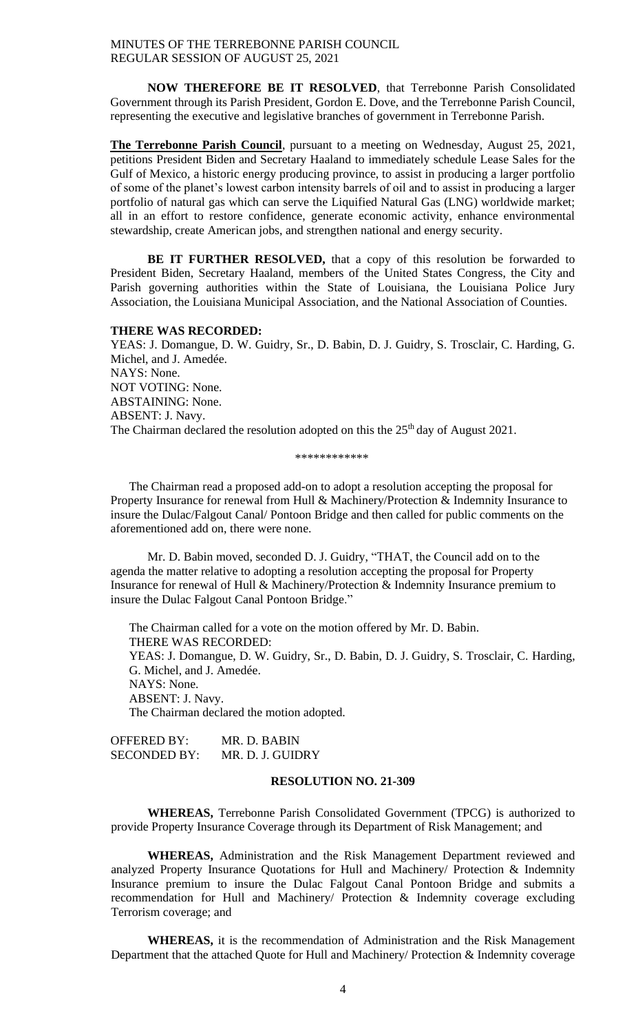**NOW THEREFORE BE IT RESOLVED**, that Terrebonne Parish Consolidated Government through its Parish President, Gordon E. Dove, and the Terrebonne Parish Council, representing the executive and legislative branches of government in Terrebonne Parish.

**The Terrebonne Parish Council**, pursuant to a meeting on Wednesday, August 25, 2021, petitions President Biden and Secretary Haaland to immediately schedule Lease Sales for the Gulf of Mexico, a historic energy producing province, to assist in producing a larger portfolio of some of the planet's lowest carbon intensity barrels of oil and to assist in producing a larger portfolio of natural gas which can serve the Liquified Natural Gas (LNG) worldwide market; all in an effort to restore confidence, generate economic activity, enhance environmental stewardship, create American jobs, and strengthen national and energy security.

**BE IT FURTHER RESOLVED,** that a copy of this resolution be forwarded to President Biden, Secretary Haaland, members of the United States Congress, the City and Parish governing authorities within the State of Louisiana, the Louisiana Police Jury Association, the Louisiana Municipal Association, and the National Association of Counties.

#### **THERE WAS RECORDED:**

YEAS: J. Domangue, D. W. Guidry, Sr., D. Babin, D. J. Guidry, S. Trosclair, C. Harding, G. Michel, and J. Amedée. NAYS: None. NOT VOTING: None. ABSTAINING: None. ABSENT: J. Navy. The Chairman declared the resolution adopted on this the  $25<sup>th</sup>$  day of August 2021.

\*\*\*\*\*\*\*\*\*\*\*\*

The Chairman read a proposed add-on to adopt a resolution accepting the proposal for Property Insurance for renewal from Hull & Machinery/Protection & Indemnity Insurance to insure the Dulac/Falgout Canal/ Pontoon Bridge and then called for public comments on the aforementioned add on, there were none.

Mr. D. Babin moved, seconded D. J. Guidry, "THAT, the Council add on to the agenda the matter relative to adopting a resolution accepting the proposal for Property Insurance for renewal of Hull & Machinery/Protection & Indemnity Insurance premium to insure the Dulac Falgout Canal Pontoon Bridge."

The Chairman called for a vote on the motion offered by Mr. D. Babin. THERE WAS RECORDED: YEAS: J. Domangue, D. W. Guidry, Sr., D. Babin, D. J. Guidry, S. Trosclair, C. Harding, G. Michel, and J. Amedée. NAYS: None. ABSENT: J. Navy. The Chairman declared the motion adopted.

OFFERED BY: MR. D. BABIN SECONDED BY: MR. D. J. GUIDRY

#### **RESOLUTION NO. 21-309**

**WHEREAS,** Terrebonne Parish Consolidated Government (TPCG) is authorized to provide Property Insurance Coverage through its Department of Risk Management; and

**WHEREAS,** Administration and the Risk Management Department reviewed and analyzed Property Insurance Quotations for Hull and Machinery/ Protection & Indemnity Insurance premium to insure the Dulac Falgout Canal Pontoon Bridge and submits a recommendation for Hull and Machinery/ Protection & Indemnity coverage excluding Terrorism coverage; and

**WHEREAS,** it is the recommendation of Administration and the Risk Management Department that the attached Quote for Hull and Machinery/ Protection & Indemnity coverage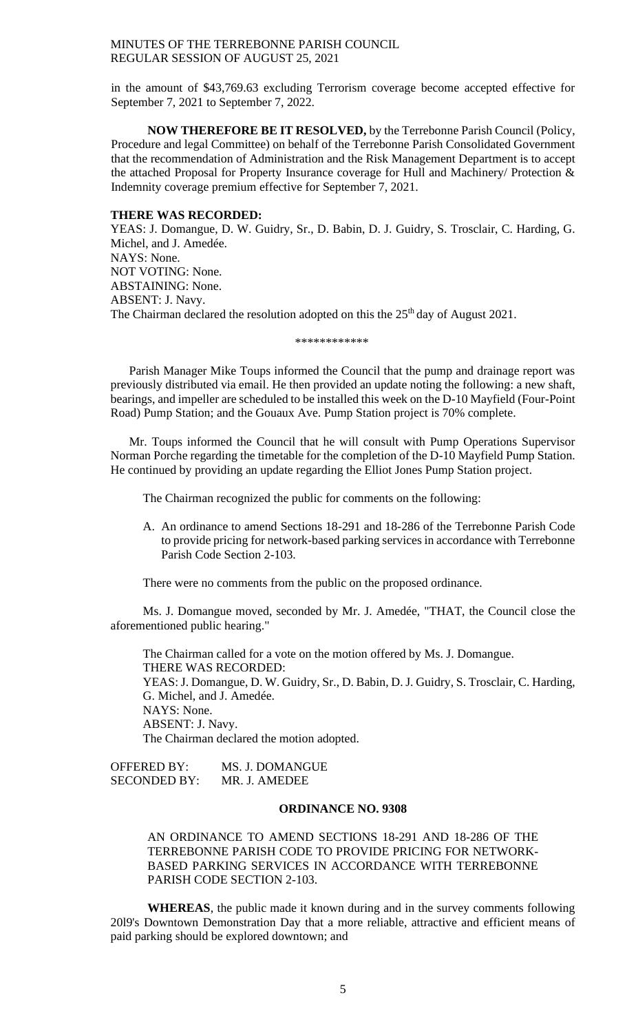in the amount of \$43,769.63 excluding Terrorism coverage become accepted effective for September 7, 2021 to September 7, 2022.

**NOW THEREFORE BE IT RESOLVED,** by the Terrebonne Parish Council (Policy, Procedure and legal Committee) on behalf of the Terrebonne Parish Consolidated Government that the recommendation of Administration and the Risk Management Department is to accept the attached Proposal for Property Insurance coverage for Hull and Machinery/ Protection & Indemnity coverage premium effective for September 7, 2021.

#### **THERE WAS RECORDED:**

YEAS: J. Domangue, D. W. Guidry, Sr., D. Babin, D. J. Guidry, S. Trosclair, C. Harding, G. Michel, and J. Amedée. NAYS: None. NOT VOTING: None. ABSTAINING: None. ABSENT: J. Navy. The Chairman declared the resolution adopted on this the  $25<sup>th</sup>$  day of August 2021.

\*\*\*\*\*\*\*\*\*\*\*\*

Parish Manager Mike Toups informed the Council that the pump and drainage report was previously distributed via email. He then provided an update noting the following: a new shaft, bearings, and impeller are scheduled to be installed this week on the D-10 Mayfield (Four-Point Road) Pump Station; and the Gouaux Ave. Pump Station project is 70% complete.

Mr. Toups informed the Council that he will consult with Pump Operations Supervisor Norman Porche regarding the timetable for the completion of the D-10 Mayfield Pump Station. He continued by providing an update regarding the Elliot Jones Pump Station project.

The Chairman recognized the public for comments on the following:

A. An ordinance to amend Sections 18-291 and 18-286 of the Terrebonne Parish Code to provide pricing for network-based parking services in accordance with Terrebonne Parish Code Section 2-103.

There were no comments from the public on the proposed ordinance.

Ms. J. Domangue moved, seconded by Mr. J. Amedée, "THAT, the Council close the aforementioned public hearing."

The Chairman called for a vote on the motion offered by Ms. J. Domangue. THERE WAS RECORDED: YEAS: J. Domangue, D. W. Guidry, Sr., D. Babin, D. J. Guidry, S. Trosclair, C. Harding, G. Michel, and J. Amedée. NAYS: None. ABSENT: J. Navy. The Chairman declared the motion adopted.

OFFERED BY: MS. J. DOMANGUE SECONDED BY: MR. J. AMEDEE

#### **ORDINANCE NO. 9308**

AN ORDINANCE TO AMEND SECTIONS 18-291 AND 18-286 OF THE TERREBONNE PARISH CODE TO PROVIDE PRICING FOR NETWORK-BASED PARKING SERVICES IN ACCORDANCE WITH TERREBONNE PARISH CODE SECTION 2-103.

**WHEREAS**, the public made it known during and in the survey comments following 20l9's Downtown Demonstration Day that a more reliable, attractive and efficient means of paid parking should be explored downtown; and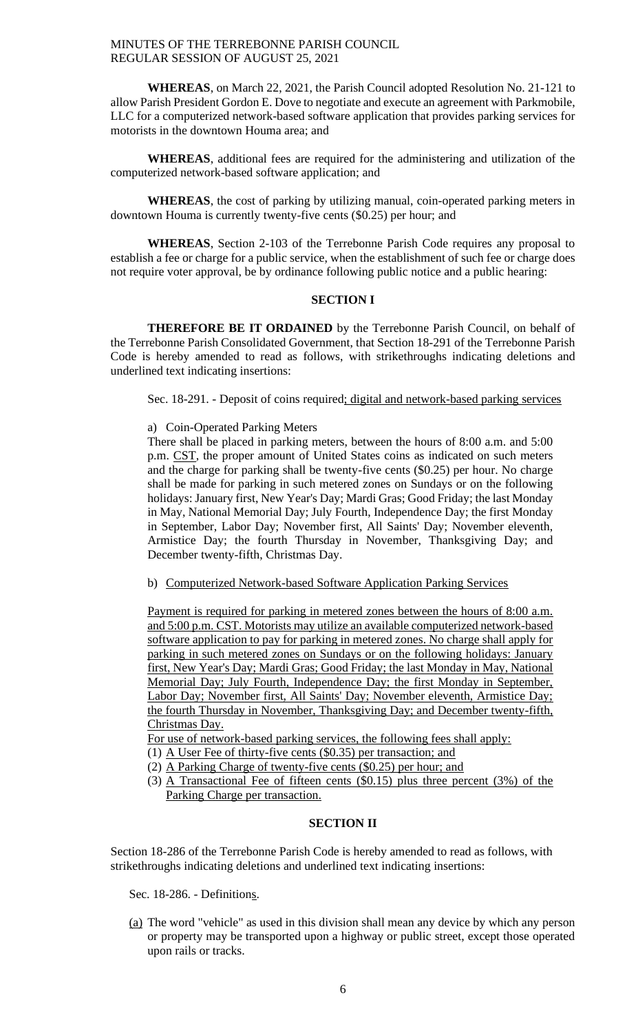**WHEREAS**, on March 22, 2021, the Parish Council adopted Resolution No. 21-121 to allow Parish President Gordon E. Dove to negotiate and execute an agreement with Parkmobile, LLC for a computerized network-based software application that provides parking services for motorists in the downtown Houma area; and

**WHEREAS**, additional fees are required for the administering and utilization of the computerized network-based software application; and

**WHEREAS**, the cost of parking by utilizing manual, coin-operated parking meters in downtown Houma is currently twenty-five cents (\$0.25) per hour; and

**WHEREAS**, Section 2-103 of the Terrebonne Parish Code requires any proposal to establish a fee or charge for a public service, when the establishment of such fee or charge does not require voter approval, be by ordinance following public notice and a public hearing:

## **SECTION I**

**THEREFORE BE IT ORDAINED** by the Terrebonne Parish Council, on behalf of the Terrebonne Parish Consolidated Government, that Section 18-291 of the Terrebonne Parish Code is hereby amended to read as follows, with strikethroughs indicating deletions and underlined text indicating insertions:

Sec. 18-291. - Deposit of coins required; digital and network-based parking services

## a) Coin-Operated Parking Meters

There shall be placed in parking meters, between the hours of 8:00 a.m. and 5:00 p.m. CST, the proper amount of United States coins as indicated on such meters and the charge for parking shall be twenty-five cents (\$0.25) per hour. No charge shall be made for parking in such metered zones on Sundays or on the following holidays: January first, New Year's Day; Mardi Gras; Good Friday; the last Monday in May, National Memorial Day; July Fourth, Independence Day; the first Monday in September, Labor Day; November first, All Saints' Day; November eleventh, Armistice Day; the fourth Thursday in November, Thanksgiving Day; and December twenty-fifth, Christmas Day.

b) Computerized Network-based Software Application Parking Services

Payment is required for parking in metered zones between the hours of 8:00 a.m. and 5:00 p.m. CST. Motorists may utilize an available computerized network-based software application to pay for parking in metered zones. No charge shall apply for parking in such metered zones on Sundays or on the following holidays: January first, New Year's Day; Mardi Gras; Good Friday; the last Monday in May, National Memorial Day; July Fourth, Independence Day; the first Monday in September, Labor Day; November first, All Saints' Day; November eleventh, Armistice Day; the fourth Thursday in November, Thanksgiving Day; and December twenty-fifth, Christmas Day.

For use of network-based parking services, the following fees shall apply:

- (1) A User Fee of thirty-five cents (\$0.35) per transaction; and
- (2) A Parking Charge of twenty-five cents (\$0.25) per hour; and
- (3) A Transactional Fee of fifteen cents (\$0.15) plus three percent (3%) of the Parking Charge per transaction.

## **SECTION II**

Section 18-286 of the Terrebonne Parish Code is hereby amended to read as follows, with strikethroughs indicating deletions and underlined text indicating insertions:

Sec. 18-286. - Definitions.

(a) The word "vehicle" as used in this division shall mean any device by which any person or property may be transported upon a highway or public street, except those operated upon rails or tracks.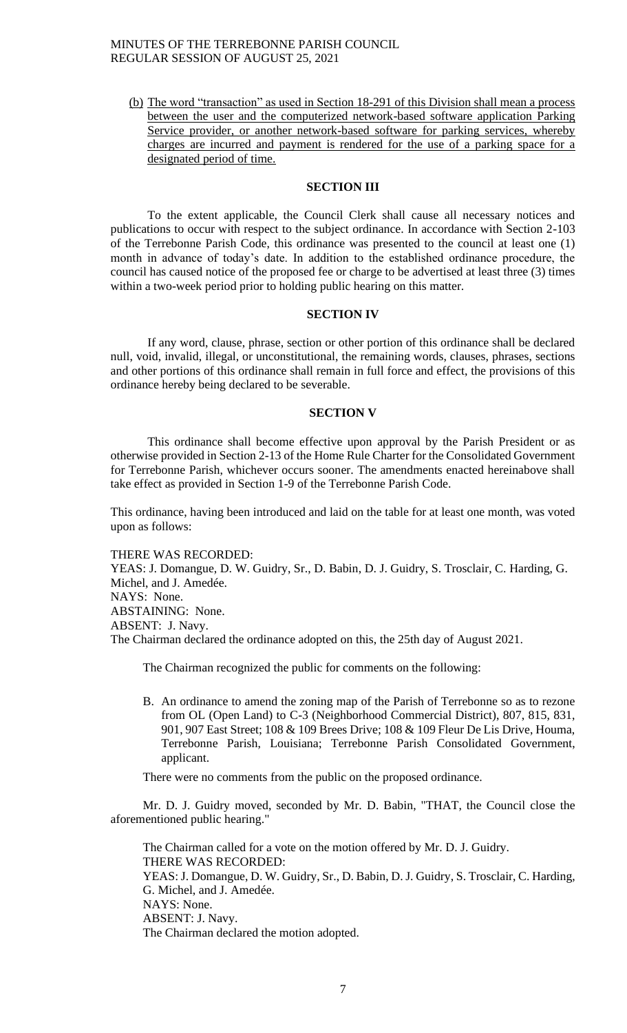(b) The word "transaction" as used in Section 18-291 of this Division shall mean a process between the user and the computerized network-based software application Parking Service provider, or another network-based software for parking services, whereby charges are incurred and payment is rendered for the use of a parking space for a designated period of time.

## **SECTION III**

To the extent applicable, the Council Clerk shall cause all necessary notices and publications to occur with respect to the subject ordinance. In accordance with Section 2-103 of the Terrebonne Parish Code, this ordinance was presented to the council at least one (1) month in advance of today's date. In addition to the established ordinance procedure, the council has caused notice of the proposed fee or charge to be advertised at least three (3) times within a two-week period prior to holding public hearing on this matter.

#### **SECTION IV**

If any word, clause, phrase, section or other portion of this ordinance shall be declared null, void, invalid, illegal, or unconstitutional, the remaining words, clauses, phrases, sections and other portions of this ordinance shall remain in full force and effect, the provisions of this ordinance hereby being declared to be severable.

#### **SECTION V**

This ordinance shall become effective upon approval by the Parish President or as otherwise provided in Section 2-13 of the Home Rule Charter for the Consolidated Government for Terrebonne Parish, whichever occurs sooner. The amendments enacted hereinabove shall take effect as provided in Section 1-9 of the Terrebonne Parish Code.

This ordinance, having been introduced and laid on the table for at least one month, was voted upon as follows:

THERE WAS RECORDED: YEAS: J. Domangue, D. W. Guidry, Sr., D. Babin, D. J. Guidry, S. Trosclair, C. Harding, G. Michel, and J. Amedée. NAYS: None. ABSTAINING: None. ABSENT: J. Navy. The Chairman declared the ordinance adopted on this, the 25th day of August 2021.

The Chairman recognized the public for comments on the following:

B. An ordinance to amend the zoning map of the Parish of Terrebonne so as to rezone from OL (Open Land) to C-3 (Neighborhood Commercial District), 807, 815, 831, 901, 907 East Street; 108 & 109 Brees Drive; 108 & 109 Fleur De Lis Drive, Houma, Terrebonne Parish, Louisiana; Terrebonne Parish Consolidated Government, applicant.

There were no comments from the public on the proposed ordinance.

Mr. D. J. Guidry moved, seconded by Mr. D. Babin, "THAT, the Council close the aforementioned public hearing."

The Chairman called for a vote on the motion offered by Mr. D. J. Guidry. THERE WAS RECORDED: YEAS: J. Domangue, D. W. Guidry, Sr., D. Babin, D. J. Guidry, S. Trosclair, C. Harding, G. Michel, and J. Amedée. NAYS: None. ABSENT: J. Navy. The Chairman declared the motion adopted.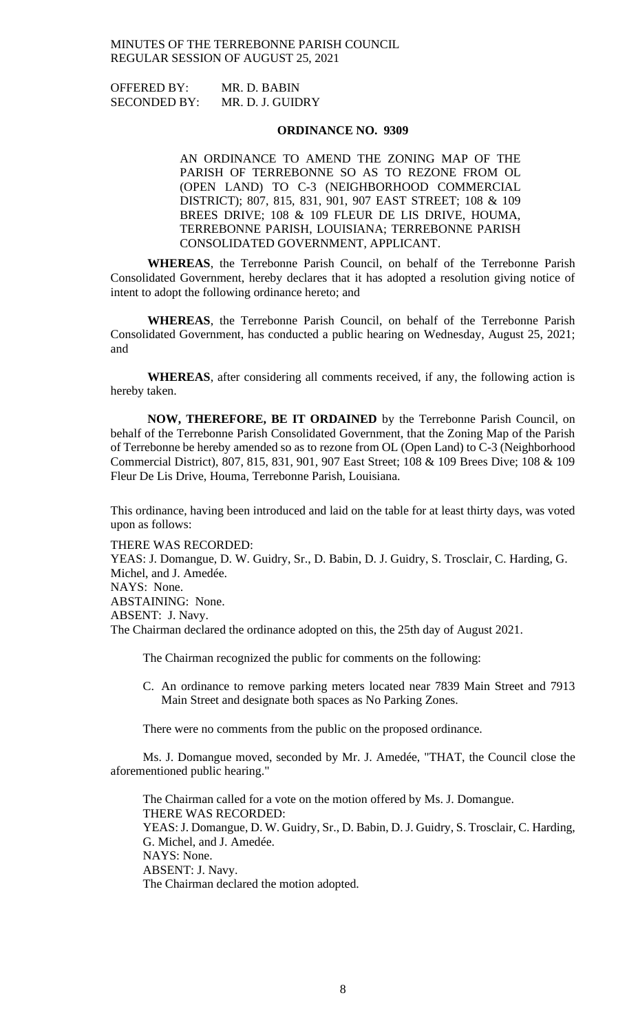OFFERED BY: MR. D. BABIN SECONDED BY: MR. D. J. GUIDRY

#### **ORDINANCE NO. 9309**

AN ORDINANCE TO AMEND THE ZONING MAP OF THE PARISH OF TERREBONNE SO AS TO REZONE FROM OL (OPEN LAND) TO C-3 (NEIGHBORHOOD COMMERCIAL DISTRICT); 807, 815, 831, 901, 907 EAST STREET; 108 & 109 BREES DRIVE; 108 & 109 FLEUR DE LIS DRIVE, HOUMA, TERREBONNE PARISH, LOUISIANA; TERREBONNE PARISH CONSOLIDATED GOVERNMENT, APPLICANT.

**WHEREAS**, the Terrebonne Parish Council, on behalf of the Terrebonne Parish Consolidated Government, hereby declares that it has adopted a resolution giving notice of intent to adopt the following ordinance hereto; and

**WHEREAS**, the Terrebonne Parish Council, on behalf of the Terrebonne Parish Consolidated Government, has conducted a public hearing on Wednesday, August 25, 2021; and

**WHEREAS**, after considering all comments received, if any, the following action is hereby taken.

**NOW, THEREFORE, BE IT ORDAINED** by the Terrebonne Parish Council, on behalf of the Terrebonne Parish Consolidated Government, that the Zoning Map of the Parish of Terrebonne be hereby amended so as to rezone from OL (Open Land) to C-3 (Neighborhood Commercial District), 807, 815, 831, 901, 907 East Street; 108 & 109 Brees Dive; 108 & 109 Fleur De Lis Drive, Houma, Terrebonne Parish, Louisiana.

This ordinance, having been introduced and laid on the table for at least thirty days, was voted upon as follows:

THERE WAS RECORDED:

YEAS: J. Domangue, D. W. Guidry, Sr., D. Babin, D. J. Guidry, S. Trosclair, C. Harding, G. Michel, and J. Amedée. NAYS: None. ABSTAINING: None. ABSENT: J. Navy. The Chairman declared the ordinance adopted on this, the 25th day of August 2021.

The Chairman recognized the public for comments on the following:

C. An ordinance to remove parking meters located near 7839 Main Street and 7913 Main Street and designate both spaces as No Parking Zones.

There were no comments from the public on the proposed ordinance.

Ms. J. Domangue moved, seconded by Mr. J. Amedée, "THAT, the Council close the aforementioned public hearing."

The Chairman called for a vote on the motion offered by Ms. J. Domangue. THERE WAS RECORDED: YEAS: J. Domangue, D. W. Guidry, Sr., D. Babin, D. J. Guidry, S. Trosclair, C. Harding, G. Michel, and J. Amedée. NAYS: None. ABSENT: J. Navy. The Chairman declared the motion adopted.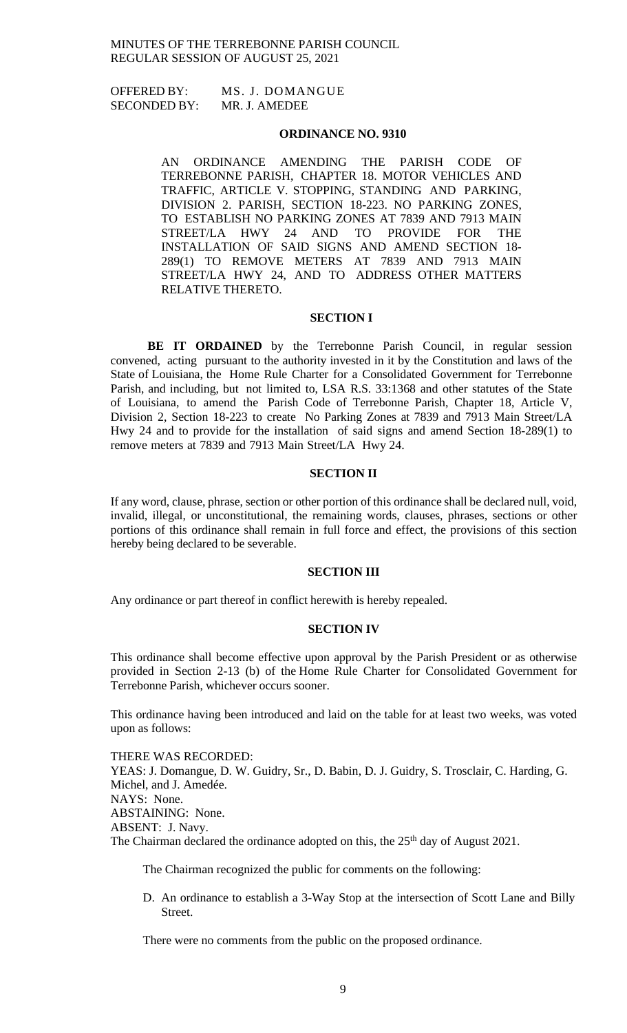OFFERED BY: MS. J. DOMANGUE SECONDED BY: MR. J. AMEDEE

#### **ORDINANCE NO. 9310**

AN ORDINANCE AMENDING THE PARISH CODE OF TERREBONNE PARISH, CHAPTER 18. MOTOR VEHICLES AND TRAFFIC, ARTICLE V. STOPPING, STANDING AND PARKING, DIVISION 2. PARISH, SECTION 18-223. NO PARKING ZONES, TO ESTABLISH NO PARKING ZONES AT 7839 AND 7913 MAIN STREET/LA HWY 24 AND TO PROVIDE FOR THE INSTALLATION OF SAID SIGNS AND AMEND SECTION 18- 289(1) TO REMOVE METERS AT 7839 AND 7913 MAIN STREET/LA HWY 24, AND TO ADDRESS OTHER MATTERS RELATIVE THERETO.

#### **SECTION I**

**BE IT ORDAINED** by the Terrebonne Parish Council, in regular session convened, acting pursuant to the authority invested in it by the Constitution and laws of the State of Louisiana, the Home Rule Charter for a Consolidated Government for Terrebonne Parish, and including, but not limited to, LSA R.S. 33:1368 and other statutes of the State of Louisiana, to amend the Parish Code of Terrebonne Parish, Chapter 18, Article V, Division 2, Section 18-223 to create No Parking Zones at 7839 and 7913 Main Street/LA Hwy 24 and to provide for the installation of said signs and amend Section 18-289(1) to remove meters at 7839 and 7913 Main Street/LA Hwy 24.

### **SECTION II**

If any word, clause, phrase, section or other portion of this ordinance shall be declared null, void, invalid, illegal, or unconstitutional, the remaining words, clauses, phrases, sections or other portions of this ordinance shall remain in full force and effect, the provisions of this section hereby being declared to be severable.

#### **SECTION III**

Any ordinance or part thereof in conflict herewith is hereby repealed.

### **SECTION IV**

This ordinance shall become effective upon approval by the Parish President or as otherwise provided in Section 2-13 (b) of the Home Rule Charter for Consolidated Government for Terrebonne Parish, whichever occurs sooner.

This ordinance having been introduced and laid on the table for at least two weeks, was voted upon as follows:

THERE WAS RECORDED:

YEAS: J. Domangue, D. W. Guidry, Sr., D. Babin, D. J. Guidry, S. Trosclair, C. Harding, G. Michel, and J. Amedée. NAYS: None. ABSTAINING: None. ABSENT: J. Navy. The Chairman declared the ordinance adopted on this, the 25<sup>th</sup> day of August 2021.

The Chairman recognized the public for comments on the following:

D. An ordinance to establish a 3-Way Stop at the intersection of Scott Lane and Billy Street.

There were no comments from the public on the proposed ordinance.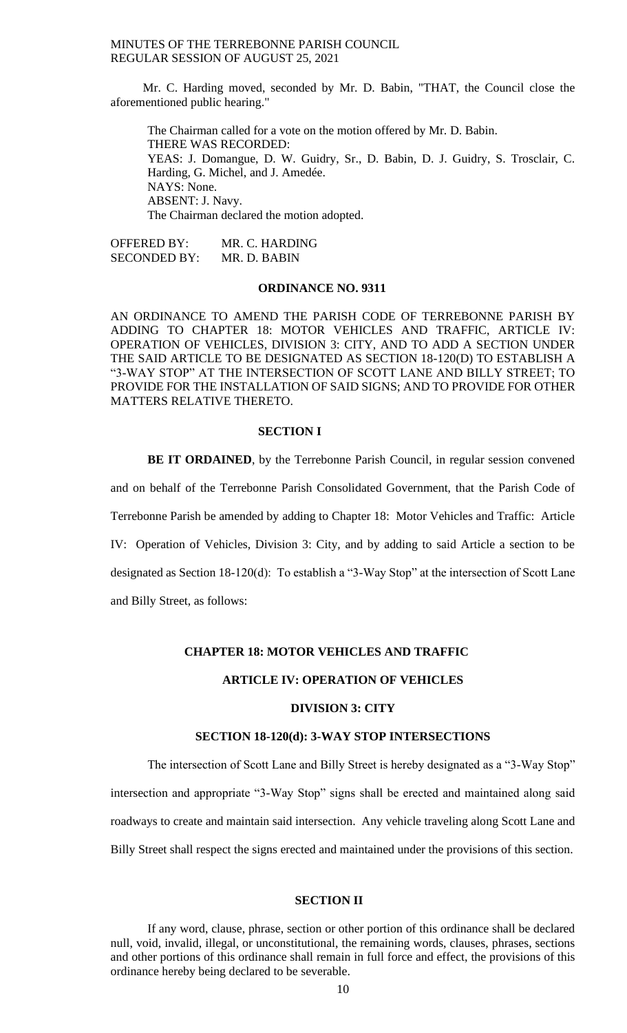Mr. C. Harding moved, seconded by Mr. D. Babin, "THAT, the Council close the aforementioned public hearing."

The Chairman called for a vote on the motion offered by Mr. D. Babin. THERE WAS RECORDED: YEAS: J. Domangue, D. W. Guidry, Sr., D. Babin, D. J. Guidry, S. Trosclair, C. Harding, G. Michel, and J. Amedée. NAYS: None. ABSENT: J. Navy. The Chairman declared the motion adopted.

OFFERED BY: MR. C. HARDING SECONDED BY: MR. D. BABIN

## **ORDINANCE NO. 9311**

AN ORDINANCE TO AMEND THE PARISH CODE OF TERREBONNE PARISH BY ADDING TO CHAPTER 18: MOTOR VEHICLES AND TRAFFIC, ARTICLE IV: OPERATION OF VEHICLES, DIVISION 3: CITY, AND TO ADD A SECTION UNDER THE SAID ARTICLE TO BE DESIGNATED AS SECTION 18-120(D) TO ESTABLISH A "3-WAY STOP" AT THE INTERSECTION OF SCOTT LANE AND BILLY STREET; TO PROVIDE FOR THE INSTALLATION OF SAID SIGNS; AND TO PROVIDE FOR OTHER MATTERS RELATIVE THERETO.

### **SECTION I**

**BE IT ORDAINED**, by the Terrebonne Parish Council, in regular session convened

and on behalf of the Terrebonne Parish Consolidated Government, that the Parish Code of

Terrebonne Parish be amended by adding to Chapter 18: Motor Vehicles and Traffic: Article

IV: Operation of Vehicles, Division 3: City, and by adding to said Article a section to be

designated as Section 18-120(d): To establish a "3-Way Stop" at the intersection of Scott Lane

and Billy Street, as follows:

#### **CHAPTER 18: MOTOR VEHICLES AND TRAFFIC**

## **ARTICLE IV: OPERATION OF VEHICLES**

### **DIVISION 3: CITY**

#### **SECTION 18-120(d): 3-WAY STOP INTERSECTIONS**

The intersection of Scott Lane and Billy Street is hereby designated as a "3-Way Stop" intersection and appropriate "3-Way Stop" signs shall be erected and maintained along said roadways to create and maintain said intersection. Any vehicle traveling along Scott Lane and Billy Street shall respect the signs erected and maintained under the provisions of this section.

## **SECTION II**

If any word, clause, phrase, section or other portion of this ordinance shall be declared null, void, invalid, illegal, or unconstitutional, the remaining words, clauses, phrases, sections and other portions of this ordinance shall remain in full force and effect, the provisions of this ordinance hereby being declared to be severable.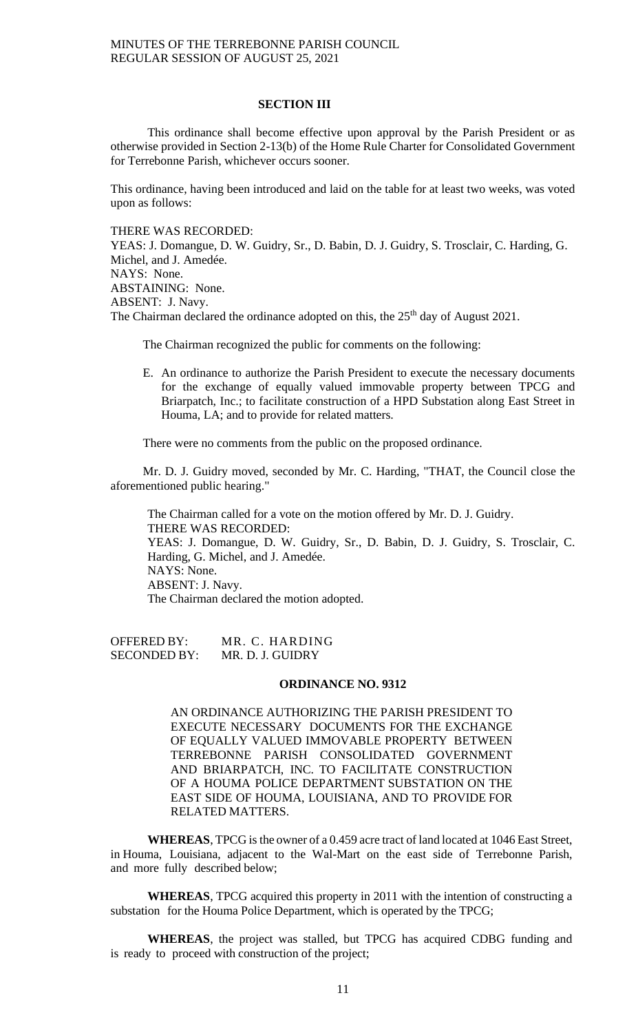### **SECTION III**

This ordinance shall become effective upon approval by the Parish President or as otherwise provided in Section 2-13(b) of the Home Rule Charter for Consolidated Government for Terrebonne Parish, whichever occurs sooner.

This ordinance, having been introduced and laid on the table for at least two weeks, was voted upon as follows:

THERE WAS RECORDED:

YEAS: J. Domangue, D. W. Guidry, Sr., D. Babin, D. J. Guidry, S. Trosclair, C. Harding, G. Michel, and J. Amedée. NAYS: None. ABSTAINING: None. ABSENT: J. Navy. The Chairman declared the ordinance adopted on this, the  $25<sup>th</sup>$  day of August 2021.

The Chairman recognized the public for comments on the following:

E. An ordinance to authorize the Parish President to execute the necessary documents for the exchange of equally valued immovable property between TPCG and Briarpatch, Inc.; to facilitate construction of a HPD Substation along East Street in Houma, LA; and to provide for related matters.

There were no comments from the public on the proposed ordinance.

Mr. D. J. Guidry moved, seconded by Mr. C. Harding, "THAT, the Council close the aforementioned public hearing."

The Chairman called for a vote on the motion offered by Mr. D. J. Guidry. THERE WAS RECORDED: YEAS: J. Domangue, D. W. Guidry, Sr., D. Babin, D. J. Guidry, S. Trosclair, C. Harding, G. Michel, and J. Amedée. NAYS: None. ABSENT: J. Navy. The Chairman declared the motion adopted.

OFFERED BY: MR. C. HARDING SECONDED BY: MR. D. J. GUIDRY

#### **ORDINANCE NO. 9312**

AN ORDINANCE AUTHORIZING THE PARISH PRESIDENT TO EXECUTE NECESSARY DOCUMENTS FOR THE EXCHANGE OF EQUALLY VALUED IMMOVABLE PROPERTY BETWEEN TERREBONNE PARISH CONSOLIDATED GOVERNMENT AND BRIARPATCH, INC. TO FACILITATE CONSTRUCTION OF A HOUMA POLICE DEPARTMENT SUBSTATION ON THE EAST SIDE OF HOUMA, LOUISIANA, AND TO PROVIDE FOR RELATED MATTERS.

WHEREAS, TPCG is the owner of a 0.459 acre tract of land located at 1046 East Street, in Houma, Louisiana, adjacent to the Wal-Mart on the east side of Terrebonne Parish, and more fully described below;

**WHEREAS**, TPCG acquired this property in 2011 with the intention of constructing a substation for the Houma Police Department, which is operated by the TPCG;

**WHEREAS**, the project was stalled, but TPCG has acquired CDBG funding and is ready to proceed with construction of the project;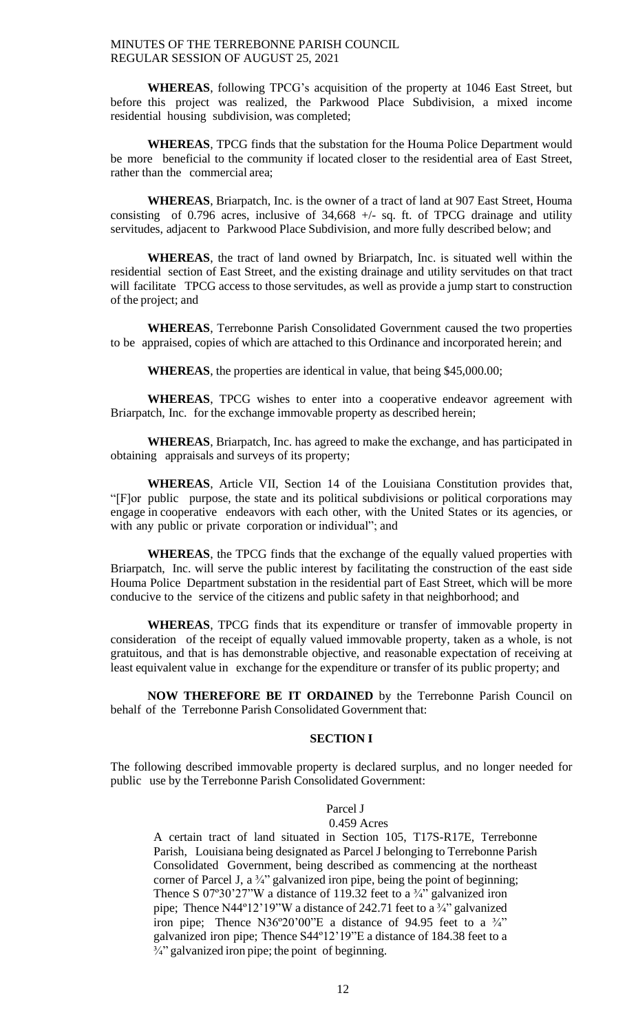**WHEREAS**, following TPCG's acquisition of the property at 1046 East Street, but before this project was realized, the Parkwood Place Subdivision, a mixed income residential housing subdivision, was completed;

**WHEREAS**, TPCG finds that the substation for the Houma Police Department would be more beneficial to the community if located closer to the residential area of East Street, rather than the commercial area;

**WHEREAS**, Briarpatch, Inc. is the owner of a tract of land at 907 East Street, Houma consisting of 0.796 acres, inclusive of  $34,668 +/-$  sq. ft. of TPCG drainage and utility servitudes, adjacent to Parkwood Place Subdivision, and more fully described below; and

**WHEREAS**, the tract of land owned by Briarpatch, Inc. is situated well within the residential section of East Street, and the existing drainage and utility servitudes on that tract will facilitate TPCG access to those servitudes, as well as provide a jump start to construction of the project; and

**WHEREAS**, Terrebonne Parish Consolidated Government caused the two properties to be appraised, copies of which are attached to this Ordinance and incorporated herein; and

**WHEREAS**, the properties are identical in value, that being \$45,000.00;

**WHEREAS**, TPCG wishes to enter into a cooperative endeavor agreement with Briarpatch, Inc. for the exchange immovable property as described herein;

**WHEREAS**, Briarpatch, Inc. has agreed to make the exchange, and has participated in obtaining appraisals and surveys of its property;

**WHEREAS**, Article VII, Section 14 of the Louisiana Constitution provides that, "[F]or public purpose, the state and its political subdivisions or political corporations may engage in cooperative endeavors with each other, with the United States or its agencies, or with any public or private corporation or individual"; and

**WHEREAS**, the TPCG finds that the exchange of the equally valued properties with Briarpatch, Inc. will serve the public interest by facilitating the construction of the east side Houma Police Department substation in the residential part of East Street, which will be more conducive to the service of the citizens and public safety in that neighborhood; and

**WHEREAS**, TPCG finds that its expenditure or transfer of immovable property in consideration of the receipt of equally valued immovable property, taken as a whole, is not gratuitous, and that is has demonstrable objective, and reasonable expectation of receiving at least equivalent value in exchange for the expenditure or transfer of its public property; and

**NOW THEREFORE BE IT ORDAINED** by the Terrebonne Parish Council on behalf of the Terrebonne Parish Consolidated Government that:

## **SECTION I**

The following described immovable property is declared surplus, and no longer needed for public use by the Terrebonne Parish Consolidated Government:

### Parcel J

#### 0.459 Acres

A certain tract of land situated in Section 105, T17S-R17E, Terrebonne Parish, Louisiana being designated as Parcel J belonging to Terrebonne Parish Consolidated Government, being described as commencing at the northeast corner of Parcel J, a  $\frac{3}{4}$ " galvanized iron pipe, being the point of beginning; Thence S 07°30'27"W a distance of 119.32 feet to a  $\frac{3}{4}$ " galvanized iron pipe; Thence N44º12'19"W a distance of 242.71 feet to a ¾" galvanized iron pipe; Thence N36°20'00"E a distance of 94.95 feet to a  $\frac{3}{4}$ " galvanized iron pipe; Thence S44º12'19"E a distance of 184.38 feet to a <sup>3/4</sup>" galvanized iron pipe; the point of beginning.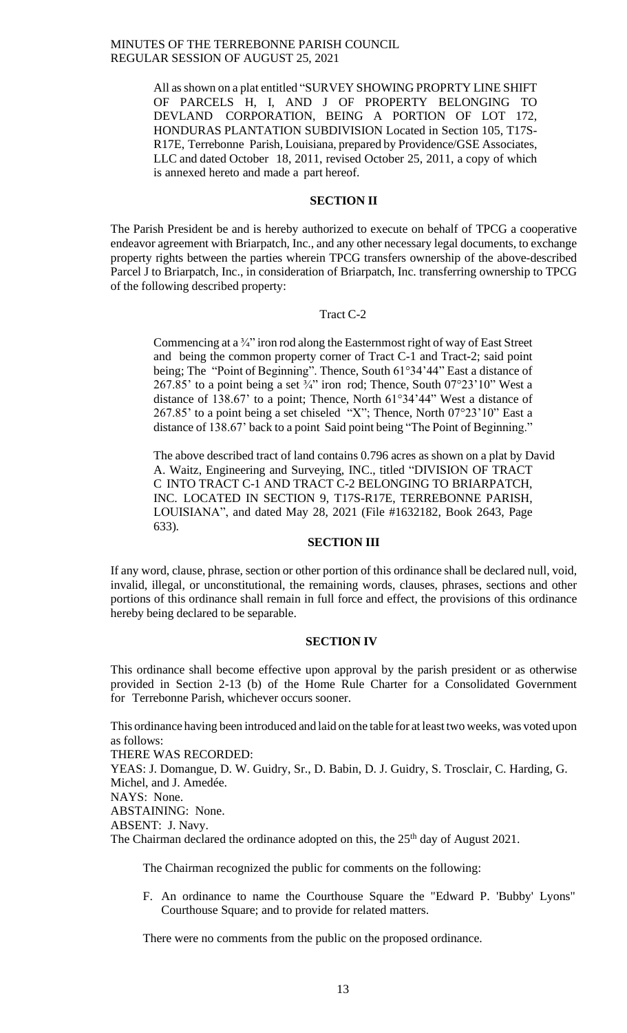All asshown on a plat entitled "SURVEY SHOWING PROPRTY LINE SHIFT OF PARCELS H, I, AND J OF PROPERTY BELONGING TO DEVLAND CORPORATION, BEING A PORTION OF LOT 172, HONDURAS PLANTATION SUBDIVISION Located in Section 105, T17S-R17E, Terrebonne Parish, Louisiana, prepared by Providence/GSE Associates, LLC and dated October 18, 2011, revised October 25, 2011, a copy of which is annexed hereto and made a part hereof.

## **SECTION II**

The Parish President be and is hereby authorized to execute on behalf of TPCG a cooperative endeavor agreement with Briarpatch, Inc., and any other necessary legal documents, to exchange property rights between the parties wherein TPCG transfers ownership of the above-described Parcel J to Briarpatch, Inc., in consideration of Briarpatch, Inc. transferring ownership to TPCG of the following described property:

## Tract C-2

Commencing at a ¾" iron rod along the Easternmost right of way of East Street and being the common property corner of Tract C-1 and Tract-2; said point being; The "Point of Beginning". Thence, South 61°34'44" East a distance of 267.85' to a point being a set  $\frac{3}{4}$ " iron rod; Thence, South 07°23'10" West a distance of 138.67' to a point; Thence, North 61°34'44" West a distance of 267.85' to a point being a set chiseled "X"; Thence, North 07°23'10" East a distance of 138.67' back to a point Said point being "The Point of Beginning."

The above described tract of land contains 0.796 acres as shown on a plat by David A. Waitz, Engineering and Surveying, INC., titled "DIVISION OF TRACT C INTO TRACT C-1 AND TRACT C-2 BELONGING TO BRIARPATCH, INC. LOCATED IN SECTION 9, T17S-R17E, TERREBONNE PARISH, LOUISIANA", and dated May 28, 2021 (File #1632182, Book 2643, Page 633).

## **SECTION III**

If any word, clause, phrase, section or other portion of this ordinance shall be declared null, void, invalid, illegal, or unconstitutional, the remaining words, clauses, phrases, sections and other portions of this ordinance shall remain in full force and effect, the provisions of this ordinance hereby being declared to be separable.

### **SECTION IV**

This ordinance shall become effective upon approval by the parish president or as otherwise provided in Section 2-13 (b) of the Home Rule Charter for a Consolidated Government for Terrebonne Parish, whichever occurs sooner.

This ordinance having been introduced and laid on the table for at least two weeks, was voted upon as follows:

THERE WAS RECORDED:

YEAS: J. Domangue, D. W. Guidry, Sr., D. Babin, D. J. Guidry, S. Trosclair, C. Harding, G. Michel, and J. Amedée.

NAYS: None.

ABSTAINING: None.

ABSENT: J. Navy.

The Chairman declared the ordinance adopted on this, the  $25<sup>th</sup>$  day of August 2021.

The Chairman recognized the public for comments on the following:

F. An ordinance to name the Courthouse Square the "Edward P. 'Bubby' Lyons" Courthouse Square; and to provide for related matters.

There were no comments from the public on the proposed ordinance.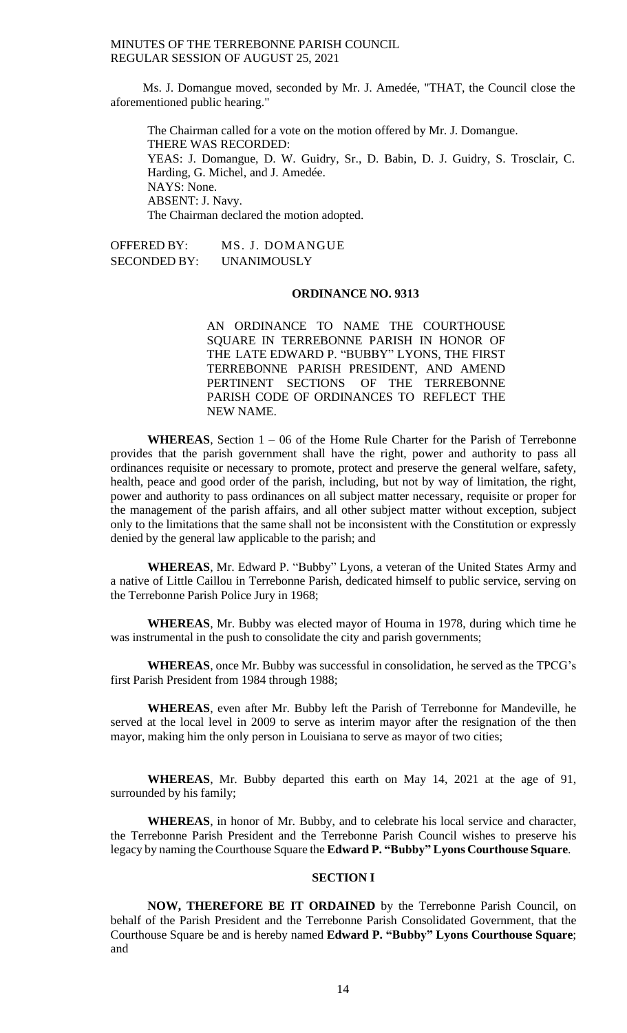Ms. J. Domangue moved, seconded by Mr. J. Amedée, "THAT, the Council close the aforementioned public hearing."

The Chairman called for a vote on the motion offered by Mr. J. Domangue. THERE WAS RECORDED: YEAS: J. Domangue, D. W. Guidry, Sr., D. Babin, D. J. Guidry, S. Trosclair, C. Harding, G. Michel, and J. Amedée. NAYS: None. ABSENT: J. Navy. The Chairman declared the motion adopted.

OFFERED BY: MS. J. DOMANGUE SECONDED BY: UNANIMOUSLY

### **ORDINANCE NO. 9313**

AN ORDINANCE TO NAME THE COURTHOUSE SQUARE IN TERREBONNE PARISH IN HONOR OF THE LATE EDWARD P. "BUBBY" LYONS, THE FIRST TERREBONNE PARISH PRESIDENT, AND AMEND PERTINENT SECTIONS OF THE TERREBONNE PARISH CODE OF ORDINANCES TO REFLECT THE NEW NAME.

**WHEREAS**, Section 1 – 06 of the Home Rule Charter for the Parish of Terrebonne provides that the parish government shall have the right, power and authority to pass all ordinances requisite or necessary to promote, protect and preserve the general welfare, safety, health, peace and good order of the parish, including, but not by way of limitation, the right, power and authority to pass ordinances on all subject matter necessary, requisite or proper for the management of the parish affairs, and all other subject matter without exception, subject only to the limitations that the same shall not be inconsistent with the Constitution or expressly denied by the general law applicable to the parish; and

**WHEREAS**, Mr. Edward P. "Bubby" Lyons, a veteran of the United States Army and a native of Little Caillou in Terrebonne Parish, dedicated himself to public service, serving on the Terrebonne Parish Police Jury in 1968;

**WHEREAS**, Mr. Bubby was elected mayor of Houma in 1978, during which time he was instrumental in the push to consolidate the city and parish governments;

**WHEREAS**, once Mr. Bubby was successful in consolidation, he served as the TPCG's first Parish President from 1984 through 1988;

**WHEREAS**, even after Mr. Bubby left the Parish of Terrebonne for Mandeville, he served at the local level in 2009 to serve as interim mayor after the resignation of the then mayor, making him the only person in Louisiana to serve as mayor of two cities;

**WHEREAS**, Mr. Bubby departed this earth on May 14, 2021 at the age of 91, surrounded by his family;

**WHEREAS**, in honor of Mr. Bubby, and to celebrate his local service and character, the Terrebonne Parish President and the Terrebonne Parish Council wishes to preserve his legacy by naming the Courthouse Square the **Edward P. "Bubby" Lyons Courthouse Square**.

#### **SECTION I**

**NOW, THEREFORE BE IT ORDAINED** by the Terrebonne Parish Council, on behalf of the Parish President and the Terrebonne Parish Consolidated Government, that the Courthouse Square be and is hereby named **Edward P. "Bubby" Lyons Courthouse Square**; and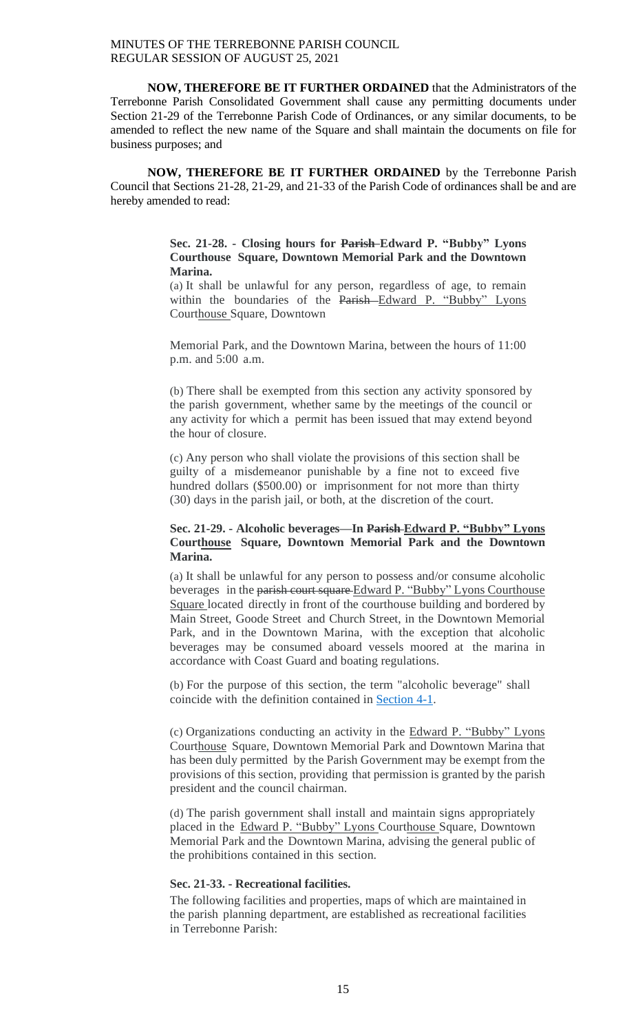**NOW, THEREFORE BE IT FURTHER ORDAINED** that the Administrators of the Terrebonne Parish Consolidated Government shall cause any permitting documents under Section 21-29 of the Terrebonne Parish Code of Ordinances, or any similar documents, to be amended to reflect the new name of the Square and shall maintain the documents on file for business purposes; and

**NOW, THEREFORE BE IT FURTHER ORDAINED** by the Terrebonne Parish Council that Sections 21-28, 21-29, and 21-33 of the Parish Code of ordinances shall be and are hereby amended to read:

## **Sec. 21-28. - Closing hours for Parish Edward P. "Bubby" Lyons Courthouse Square, Downtown Memorial Park and the Downtown Marina.**

(a) It shall be unlawful for any person, regardless of age, to remain within the boundaries of the Parish-Edward P. "Bubby" Lyons Courthouse Square, Downtown

Memorial Park, and the Downtown Marina, between the hours of 11:00 p.m. and 5:00 a.m.

(b) There shall be exempted from this section any activity sponsored by the parish government, whether same by the meetings of the council or any activity for which a permit has been issued that may extend beyond the hour of closure.

(c) Any person who shall violate the provisions of this section shall be guilty of a misdemeanor punishable by a fine not to exceed five hundred dollars (\$500.00) or imprisonment for not more than thirty (30) days in the parish jail, or both, at the discretion of the court.

## **Sec. 21-29. - Alcoholic beverages—In Parish Edward P. "Bubby" Lyons Courthouse Square, Downtown Memorial Park and the Downtown Marina.**

(a) It shall be unlawful for any person to possess and/or consume alcoholic beverages in the parish court square Edward P. "Bubby" Lyons Courthouse Square located directly in front of the courthouse building and bordered by Main Street, Goode Street and Church Street, in the Downtown Memorial Park, and in the Downtown Marina, with the exception that alcoholic beverages may be consumed aboard vessels moored at the marina in accordance with Coast Guard and boating regulations.

(b) For the purpose of this section, the term "alcoholic beverage" shall coincide with the definition contained in [Section](https://library.municode.com/la/terrebonne_parish/codes/code_of_ordinances?nodeId=PTIIPACO_CH4ALBE_ARTIINGE_S4-1DE) 4-1.

(c) Organizations conducting an activity in the Edward P. "Bubby" Lyons Courthouse Square, Downtown Memorial Park and Downtown Marina that has been duly permitted by the Parish Government may be exempt from the provisions of this section, providing that permission is granted by the parish president and the council chairman.

(d) The parish government shall install and maintain signs appropriately placed in the Edward P. "Bubby" Lyons Courthouse Square, Downtown Memorial Park and the Downtown Marina, advising the general public of the prohibitions contained in this section.

#### **Sec. 21-33. - Recreational facilities.**

The following facilities and properties, maps of which are maintained in the parish planning department, are established as recreational facilities in Terrebonne Parish: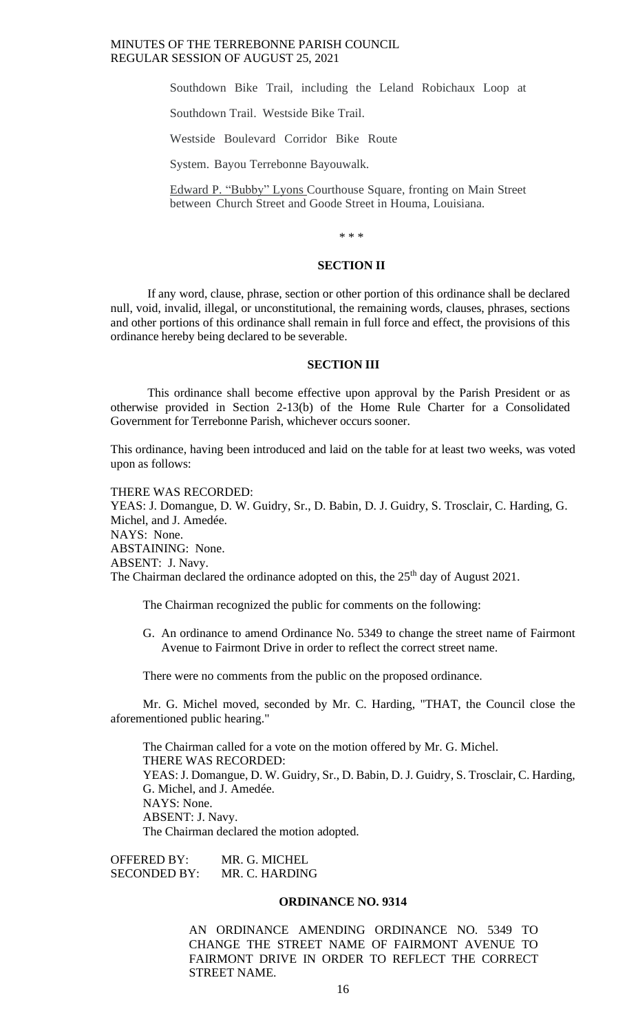Southdown Bike Trail, including the Leland Robichaux Loop at

Southdown Trail. Westside Bike Trail.

Westside Boulevard Corridor Bike Route

System. Bayou Terrebonne Bayouwalk.

Edward P. "Bubby" Lyons Courthouse Square, fronting on Main Street between Church Street and Goode Street in Houma, Louisiana.

\* \* \*

### **SECTION II**

If any word, clause, phrase, section or other portion of this ordinance shall be declared null, void, invalid, illegal, or unconstitutional, the remaining words, clauses, phrases, sections and other portions of this ordinance shall remain in full force and effect, the provisions of this ordinance hereby being declared to be severable.

#### **SECTION III**

This ordinance shall become effective upon approval by the Parish President or as otherwise provided in Section 2-13(b) of the Home Rule Charter for a Consolidated Government for Terrebonne Parish, whichever occurs sooner.

This ordinance, having been introduced and laid on the table for at least two weeks, was voted upon as follows:

THERE WAS RECORDED: YEAS: J. Domangue, D. W. Guidry, Sr., D. Babin, D. J. Guidry, S. Trosclair, C. Harding, G. Michel, and J. Amedée. NAYS: None. ABSTAINING: None. ABSENT: J. Navy. The Chairman declared the ordinance adopted on this, the 25<sup>th</sup> day of August 2021.

The Chairman recognized the public for comments on the following:

G. An ordinance to amend Ordinance No. 5349 to change the street name of Fairmont Avenue to Fairmont Drive in order to reflect the correct street name.

There were no comments from the public on the proposed ordinance.

Mr. G. Michel moved, seconded by Mr. C. Harding, "THAT, the Council close the aforementioned public hearing."

The Chairman called for a vote on the motion offered by Mr. G. Michel. THERE WAS RECORDED: YEAS: J. Domangue, D. W. Guidry, Sr., D. Babin, D. J. Guidry, S. Trosclair, C. Harding, G. Michel, and J. Amedée. NAYS: None. ABSENT: J. Navy. The Chairman declared the motion adopted.

OFFERED BY: MR. G. MICHEL SECONDED BY: MR. C. HARDING

#### **ORDINANCE NO. 9314**

AN ORDINANCE AMENDING ORDINANCE NO. 5349 TO CHANGE THE STREET NAME OF FAIRMONT AVENUE TO FAIRMONT DRIVE IN ORDER TO REFLECT THE CORRECT STREET NAME.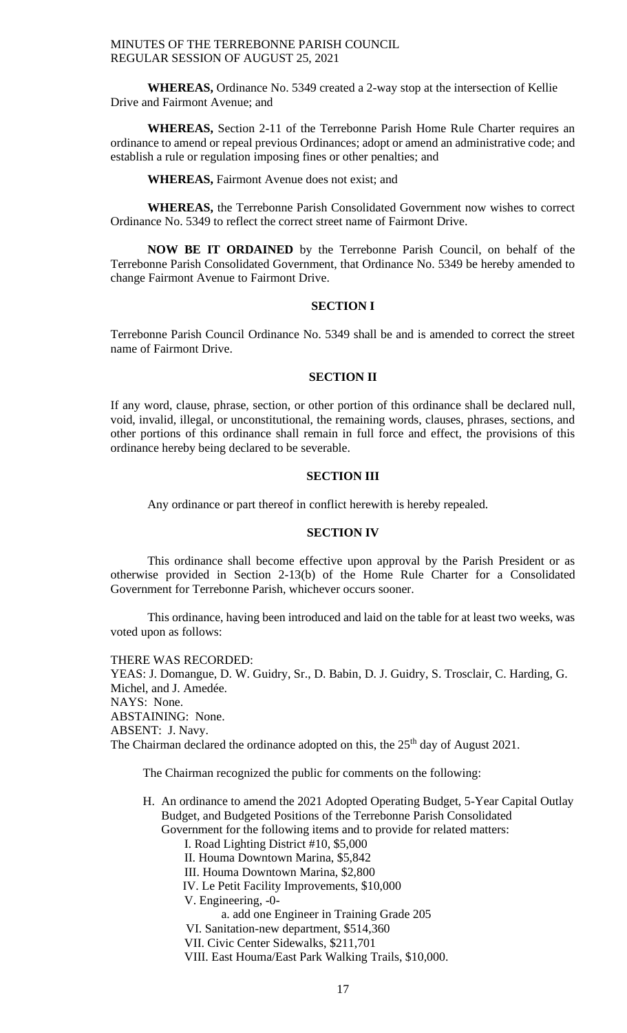**WHEREAS,** Ordinance No. 5349 created a 2-way stop at the intersection of Kellie Drive and Fairmont Avenue; and

**WHEREAS,** Section 2-11 of the Terrebonne Parish Home Rule Charter requires an ordinance to amend or repeal previous Ordinances; adopt or amend an administrative code; and establish a rule or regulation imposing fines or other penalties; and

**WHEREAS,** Fairmont Avenue does not exist; and

**WHEREAS,** the Terrebonne Parish Consolidated Government now wishes to correct Ordinance No. 5349 to reflect the correct street name of Fairmont Drive.

**NOW BE IT ORDAINED** by the Terrebonne Parish Council, on behalf of the Terrebonne Parish Consolidated Government, that Ordinance No. 5349 be hereby amended to change Fairmont Avenue to Fairmont Drive.

## **SECTION I**

Terrebonne Parish Council Ordinance No. 5349 shall be and is amended to correct the street name of Fairmont Drive.

## **SECTION II**

If any word, clause, phrase, section, or other portion of this ordinance shall be declared null, void, invalid, illegal, or unconstitutional, the remaining words, clauses, phrases, sections, and other portions of this ordinance shall remain in full force and effect, the provisions of this ordinance hereby being declared to be severable.

#### **SECTION III**

Any ordinance or part thereof in conflict herewith is hereby repealed.

#### **SECTION IV**

This ordinance shall become effective upon approval by the Parish President or as otherwise provided in Section 2-13(b) of the Home Rule Charter for a Consolidated Government for Terrebonne Parish, whichever occurs sooner.

This ordinance, having been introduced and laid on the table for at least two weeks, was voted upon as follows:

THERE WAS RECORDED: YEAS: J. Domangue, D. W. Guidry, Sr., D. Babin, D. J. Guidry, S. Trosclair, C. Harding, G. Michel, and J. Amedée. NAYS: None. ABSTAINING: None. ABSENT: J. Navy. The Chairman declared the ordinance adopted on this, the 25<sup>th</sup> day of August 2021.

The Chairman recognized the public for comments on the following:

- H. An ordinance to amend the 2021 Adopted Operating Budget, 5-Year Capital Outlay Budget, and Budgeted Positions of the Terrebonne Parish Consolidated Government for the following items and to provide for related matters:
	- I. Road Lighting District #10, \$5,000
	- II. Houma Downtown Marina, \$5,842
	- III. Houma Downtown Marina, \$2,800
	- IV. Le Petit Facility Improvements, \$10,000
	- V. Engineering, -0
		- a. add one Engineer in Training Grade 205
	- VI. Sanitation-new department, \$514,360
	- VII. Civic Center Sidewalks, \$211,701
	- VIII. East Houma/East Park Walking Trails, \$10,000.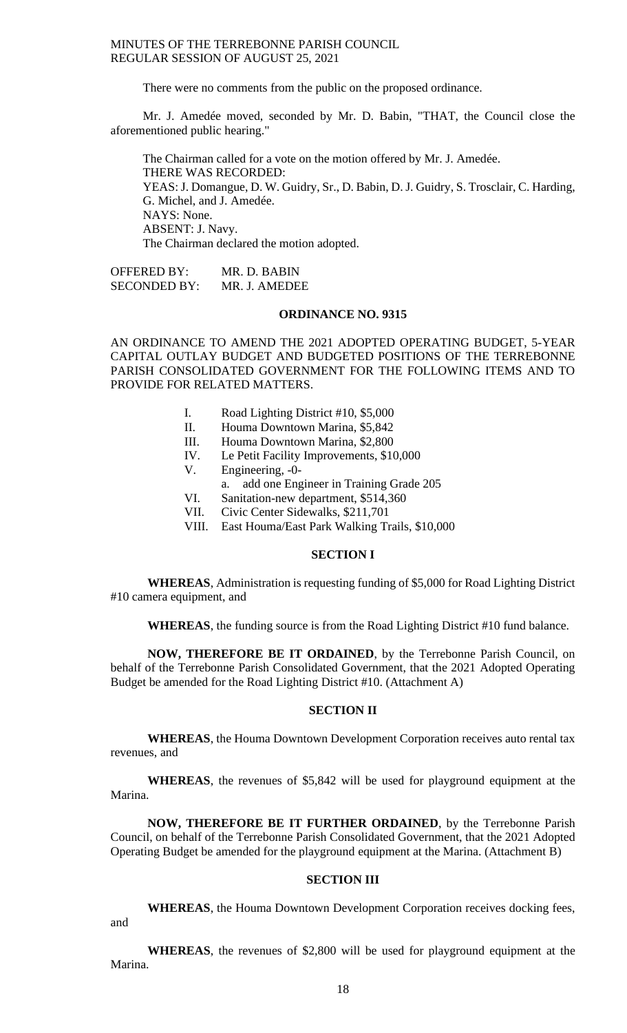There were no comments from the public on the proposed ordinance.

Mr. J. Amedée moved, seconded by Mr. D. Babin, "THAT, the Council close the aforementioned public hearing."

The Chairman called for a vote on the motion offered by Mr. J. Amedée. THERE WAS RECORDED: YEAS: J. Domangue, D. W. Guidry, Sr., D. Babin, D. J. Guidry, S. Trosclair, C. Harding, G. Michel, and J. Amedée. NAYS: None. ABSENT: J. Navy. The Chairman declared the motion adopted.

OFFERED BY: MR. D. BABIN SECONDED BY: MR. J. AMEDEE

## **ORDINANCE NO. 9315**

AN ORDINANCE TO AMEND THE 2021 ADOPTED OPERATING BUDGET, 5-YEAR CAPITAL OUTLAY BUDGET AND BUDGETED POSITIONS OF THE TERREBONNE PARISH CONSOLIDATED GOVERNMENT FOR THE FOLLOWING ITEMS AND TO PROVIDE FOR RELATED MATTERS.

- I. Road Lighting District #10, \$5,000
- II. Houma Downtown Marina, \$5,842
- III. Houma Downtown Marina, \$2,800
- IV. Le Petit Facility Improvements, \$10,000
- V. Engineering, -0
	- a. add one Engineer in Training Grade 205
- VI. Sanitation-new department, \$514,360
- VII. Civic Center Sidewalks, \$211,701
- VIII. East Houma/East Park Walking Trails, \$10,000

## **SECTION I**

**WHEREAS**, Administration is requesting funding of \$5,000 for Road Lighting District #10 camera equipment, and

**WHEREAS**, the funding source is from the Road Lighting District #10 fund balance.

**NOW, THEREFORE BE IT ORDAINED**, by the Terrebonne Parish Council, on behalf of the Terrebonne Parish Consolidated Government, that the 2021 Adopted Operating Budget be amended for the Road Lighting District #10. (Attachment A)

## **SECTION II**

**WHEREAS**, the Houma Downtown Development Corporation receives auto rental tax revenues, and

**WHEREAS**, the revenues of \$5,842 will be used for playground equipment at the Marina.

**NOW, THEREFORE BE IT FURTHER ORDAINED**, by the Terrebonne Parish Council, on behalf of the Terrebonne Parish Consolidated Government, that the 2021 Adopted Operating Budget be amended for the playground equipment at the Marina. (Attachment B)

## **SECTION III**

**WHEREAS**, the Houma Downtown Development Corporation receives docking fees, and

**WHEREAS**, the revenues of \$2,800 will be used for playground equipment at the Marina.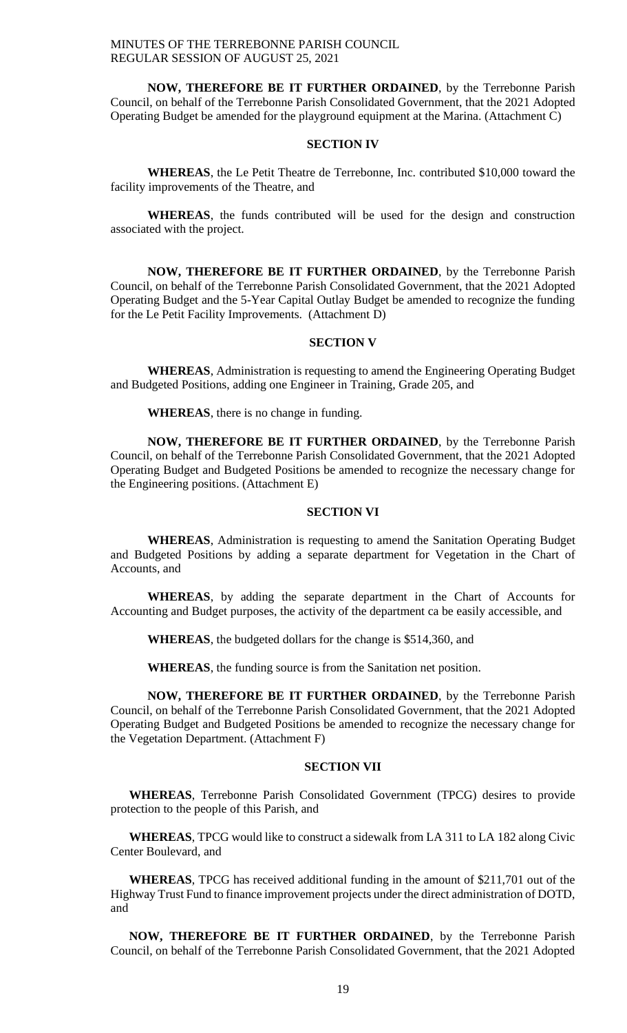**NOW, THEREFORE BE IT FURTHER ORDAINED**, by the Terrebonne Parish Council, on behalf of the Terrebonne Parish Consolidated Government, that the 2021 Adopted Operating Budget be amended for the playground equipment at the Marina. (Attachment C)

#### **SECTION IV**

**WHEREAS**, the Le Petit Theatre de Terrebonne, Inc. contributed \$10,000 toward the facility improvements of the Theatre, and

**WHEREAS**, the funds contributed will be used for the design and construction associated with the project.

**NOW, THEREFORE BE IT FURTHER ORDAINED**, by the Terrebonne Parish Council, on behalf of the Terrebonne Parish Consolidated Government, that the 2021 Adopted Operating Budget and the 5-Year Capital Outlay Budget be amended to recognize the funding for the Le Petit Facility Improvements. (Attachment D)

## **SECTION V**

**WHEREAS**, Administration is requesting to amend the Engineering Operating Budget and Budgeted Positions, adding one Engineer in Training, Grade 205, and

**WHEREAS**, there is no change in funding.

**NOW, THEREFORE BE IT FURTHER ORDAINED**, by the Terrebonne Parish Council, on behalf of the Terrebonne Parish Consolidated Government, that the 2021 Adopted Operating Budget and Budgeted Positions be amended to recognize the necessary change for the Engineering positions. (Attachment E)

#### **SECTION VI**

**WHEREAS**, Administration is requesting to amend the Sanitation Operating Budget and Budgeted Positions by adding a separate department for Vegetation in the Chart of Accounts, and

**WHEREAS**, by adding the separate department in the Chart of Accounts for Accounting and Budget purposes, the activity of the department ca be easily accessible, and

**WHEREAS**, the budgeted dollars for the change is \$514,360, and

**WHEREAS**, the funding source is from the Sanitation net position.

**NOW, THEREFORE BE IT FURTHER ORDAINED**, by the Terrebonne Parish Council, on behalf of the Terrebonne Parish Consolidated Government, that the 2021 Adopted Operating Budget and Budgeted Positions be amended to recognize the necessary change for the Vegetation Department. (Attachment F)

#### **SECTION VII**

**WHEREAS**, Terrebonne Parish Consolidated Government (TPCG) desires to provide protection to the people of this Parish, and

**WHEREAS**, TPCG would like to construct a sidewalk from LA 311 to LA 182 along Civic Center Boulevard, and

**WHEREAS**, TPCG has received additional funding in the amount of \$211,701 out of the Highway Trust Fund to finance improvement projects under the direct administration of DOTD, and

**NOW, THEREFORE BE IT FURTHER ORDAINED**, by the Terrebonne Parish Council, on behalf of the Terrebonne Parish Consolidated Government, that the 2021 Adopted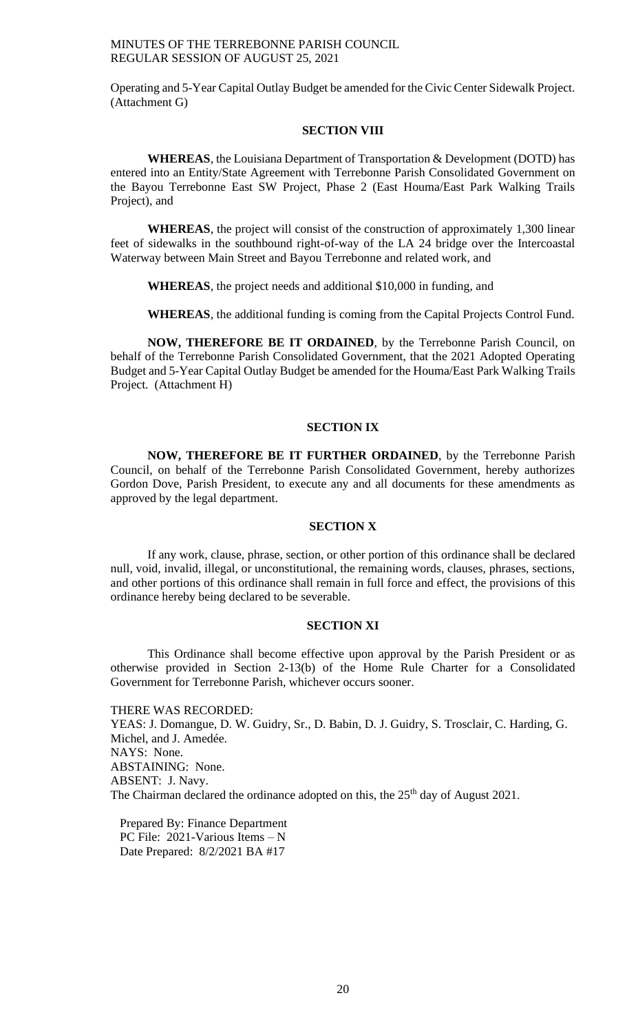Operating and 5-Year Capital Outlay Budget be amended for the Civic Center Sidewalk Project. (Attachment G)

#### **SECTION VIII**

**WHEREAS**, the Louisiana Department of Transportation & Development (DOTD) has entered into an Entity/State Agreement with Terrebonne Parish Consolidated Government on the Bayou Terrebonne East SW Project, Phase 2 (East Houma/East Park Walking Trails Project), and

**WHEREAS**, the project will consist of the construction of approximately 1,300 linear feet of sidewalks in the southbound right-of-way of the LA 24 bridge over the Intercoastal Waterway between Main Street and Bayou Terrebonne and related work, and

**WHEREAS**, the project needs and additional \$10,000 in funding, and

**WHEREAS**, the additional funding is coming from the Capital Projects Control Fund.

**NOW, THEREFORE BE IT ORDAINED**, by the Terrebonne Parish Council, on behalf of the Terrebonne Parish Consolidated Government, that the 2021 Adopted Operating Budget and 5-Year Capital Outlay Budget be amended for the Houma/East Park Walking Trails Project. (Attachment H)

## **SECTION IX**

**NOW, THEREFORE BE IT FURTHER ORDAINED**, by the Terrebonne Parish Council, on behalf of the Terrebonne Parish Consolidated Government, hereby authorizes Gordon Dove, Parish President, to execute any and all documents for these amendments as approved by the legal department.

#### **SECTION X**

If any work, clause, phrase, section, or other portion of this ordinance shall be declared null, void, invalid, illegal, or unconstitutional, the remaining words, clauses, phrases, sections, and other portions of this ordinance shall remain in full force and effect, the provisions of this ordinance hereby being declared to be severable.

### **SECTION XI**

This Ordinance shall become effective upon approval by the Parish President or as otherwise provided in Section 2-13(b) of the Home Rule Charter for a Consolidated Government for Terrebonne Parish, whichever occurs sooner.

THERE WAS RECORDED: YEAS: J. Domangue, D. W. Guidry, Sr., D. Babin, D. J. Guidry, S. Trosclair, C. Harding, G. Michel, and J. Amedée. NAYS: None. ABSTAINING: None. ABSENT: J. Navy. The Chairman declared the ordinance adopted on this, the 25<sup>th</sup> day of August 2021.

Prepared By: Finance Department PC File: 2021-Various Items – N Date Prepared: 8/2/2021 BA #17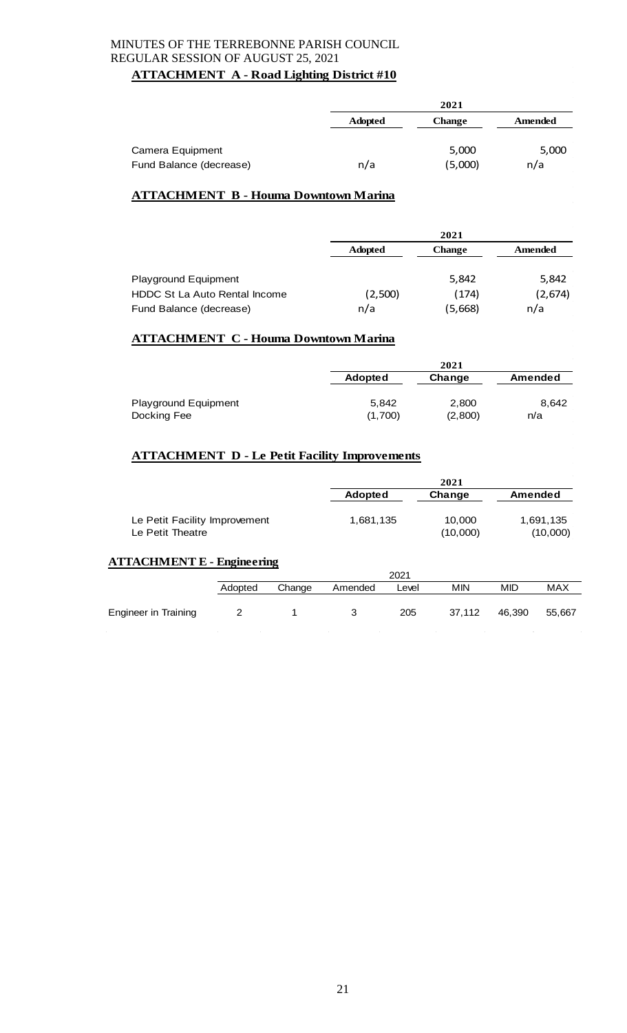## **ATTACHMENT A - Road Lighting District #10**

|                                             |                | 2021             |              |
|---------------------------------------------|----------------|------------------|--------------|
|                                             | <b>Adopted</b> | <b>Change</b>    | Amended      |
| Camera Equipment<br>Fund Balance (decrease) | n/a            | 5,000<br>(5,000) | 5,000<br>n/a |

# **ATTACHMENT B - Houma Downtown Marina**

|                               |                | 2021    |         |
|-------------------------------|----------------|---------|---------|
|                               | <b>Adopted</b> | Change  | Amended |
| <b>Playground Equipment</b>   |                | 5,842   | 5,842   |
| HDDC St La Auto Rental Income | (2,500)        | (174)   | (2,674) |
| Fund Balance (decrease)       | n/a            | (5,668) | n/a     |

## **ATTACHMENT C - Houma Downtown Marina**

|                             |                | 2021    |         |
|-----------------------------|----------------|---------|---------|
|                             | <b>Adopted</b> | Change  | Amended |
| <b>Playground Equipment</b> | 5.842          | 2,800   | 8.642   |
| Docking Fee                 | (1,700)        | (2,800) | n/a     |

## **ATTACHMENT D - Le Petit Facility Improvements**

|                                                   |           | 2021               |                       |
|---------------------------------------------------|-----------|--------------------|-----------------------|
|                                                   | Adopted   | Change             | Amended               |
| Le Petit Facility Improvement<br>Le Petit Theatre | 1,681,135 | 10,000<br>(10,000) | 1,691,135<br>(10,000) |

## **ATTACHMENT E - Engineering**

|                             |         |        |         | 2021  |            |            |        |
|-----------------------------|---------|--------|---------|-------|------------|------------|--------|
|                             | Adopted | Change | Amended | Level | <b>MIN</b> | <b>MID</b> | MAX    |
| <b>Engineer in Training</b> |         |        |         | 205   | 37,112     | 46,390     | 55,667 |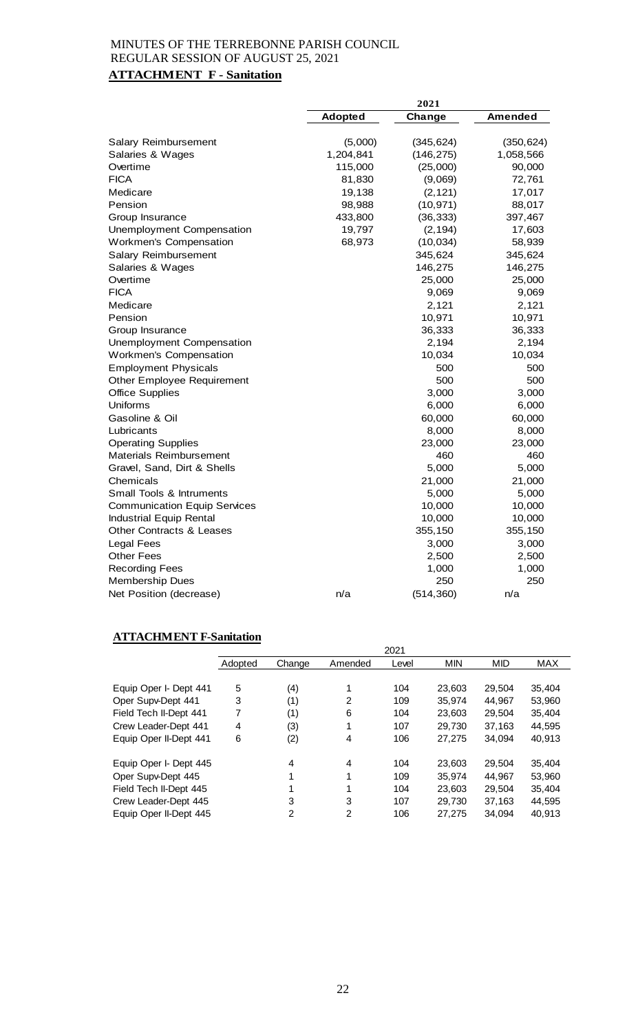# **ATTACHMENT F - Sanitation**

|                                     |                | 2021       |            |
|-------------------------------------|----------------|------------|------------|
|                                     | <b>Adopted</b> | Change     | Amended    |
|                                     |                |            |            |
| Salary Reimbursement                | (5,000)        | (345, 624) | (350, 624) |
| Salaries & Wages                    | 1,204,841      | (146, 275) | 1,058,566  |
| Overtime<br><b>FICA</b>             | 115,000        | (25,000)   | 90,000     |
|                                     | 81,830         | (9,069)    | 72,761     |
| Medicare                            | 19,138         | (2, 121)   | 17,017     |
| Pension                             | 98,988         | (10, 971)  | 88,017     |
| Group Insurance                     | 433,800        | (36, 333)  | 397,467    |
| Unemployment Compensation           | 19,797         | (2, 194)   | 17,603     |
| Workmen's Compensation              | 68,973         | (10, 034)  | 58,939     |
| Salary Reimbursement                |                | 345,624    | 345,624    |
| Salaries & Wages                    |                | 146,275    | 146,275    |
| Overtime                            |                | 25,000     | 25,000     |
| <b>FICA</b>                         |                | 9,069      | 9,069      |
| Medicare                            |                | 2,121      | 2,121      |
| Pension                             |                | 10,971     | 10,971     |
| Group Insurance                     |                | 36,333     | 36,333     |
| Unemployment Compensation           |                | 2,194      | 2,194      |
| Workmen's Compensation              |                | 10,034     | 10,034     |
| <b>Employment Physicals</b>         |                | 500        | 500        |
| <b>Other Employee Requirement</b>   |                | 500        | 500        |
| <b>Office Supplies</b>              |                | 3,000      | 3,000      |
| Uniforms                            |                | 6,000      | 6,000      |
| Gasoline & Oil                      |                | 60,000     | 60,000     |
| Lubricants                          |                | 8,000      | 8,000      |
| <b>Operating Supplies</b>           |                | 23,000     | 23,000     |
| <b>Materials Reimbursement</b>      |                | 460        | 460        |
| Gravel, Sand, Dirt & Shells         |                | 5,000      | 5,000      |
| Chemicals                           |                | 21,000     | 21,000     |
| <b>Small Tools &amp; Intruments</b> |                | 5,000      | 5,000      |
| <b>Communication Equip Services</b> |                | 10,000     | 10,000     |
| <b>Industrial Equip Rental</b>      |                | 10,000     | 10,000     |
| <b>Other Contracts &amp; Leases</b> |                | 355,150    | 355,150    |
| <b>Legal Fees</b>                   |                | 3,000      | 3,000      |
| <b>Other Fees</b>                   |                | 2,500      | 2,500      |
| <b>Recording Fees</b>               |                | 1,000      | 1,000      |
| <b>Membership Dues</b>              |                | 250        | 250        |
| Net Position (decrease)             | n/a            | (514, 360) | n/a        |

## **ATTACHMENT F-Sanitation**

|                        |         |        |         | 2021  |            |            |            |
|------------------------|---------|--------|---------|-------|------------|------------|------------|
|                        | Adopted | Change | Amended | Level | <b>MIN</b> | <b>MID</b> | <b>MAX</b> |
|                        |         |        |         |       |            |            |            |
| Equip Oper I- Dept 441 | 5       | (4)    | 1       | 104   | 23.603     | 29.504     | 35,404     |
| Oper Supv-Dept 441     | 3       | (1)    | 2       | 109   | 35.974     | 44.967     | 53,960     |
| Field Tech II-Dept 441 | 7       | (1)    | 6       | 104   | 23,603     | 29,504     | 35,404     |
| Crew Leader-Dept 441   | 4       | (3)    | 1       | 107   | 29.730     | 37,163     | 44.595     |
| Equip Oper II-Dept 441 | 6       | (2)    | 4       | 106   | 27,275     | 34,094     | 40,913     |
| Equip Oper I- Dept 445 |         | 4      | 4       | 104   | 23.603     | 29,504     | 35.404     |
| Oper Supv-Dept 445     |         |        | 1       | 109   | 35,974     | 44.967     | 53,960     |
| Field Tech II-Dept 445 |         |        | 1       | 104   | 23,603     | 29,504     | 35,404     |
| Crew Leader-Dept 445   |         | 3      | 3       | 107   | 29.730     | 37,163     | 44.595     |
| Equip Oper II-Dept 445 |         | 2      | 2       | 106   | 27.275     | 34.094     | 40,913     |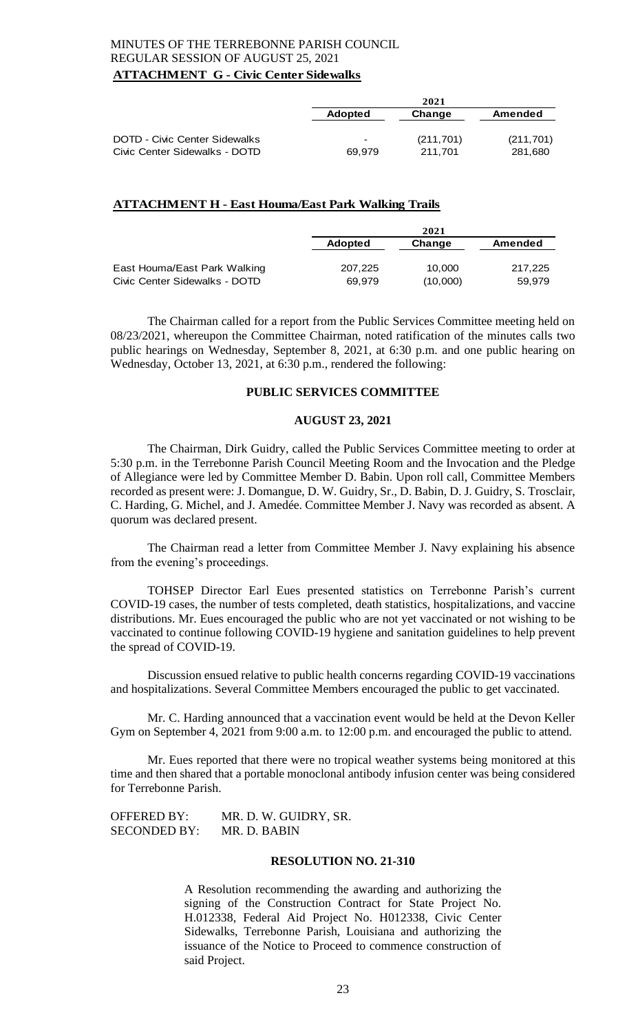## MINUTES OF THE TERREBONNE PARISH COUNCIL REGULAR SESSION OF AUGUST 25, 2021 **ATTACHMENT G - Civic Center Sidewalks**

|                                                           |                | 2021       |            |
|-----------------------------------------------------------|----------------|------------|------------|
|                                                           | <b>Adopted</b> | Change     | Amended    |
| <b>DOTD - Civic Center Sidewalks</b>                      | $\,$           | (211, 701) | (211, 701) |
| Civic Center Sidewalks - DOTD                             | 69,979         | 211,701    | 281,680    |
| <b>ATTACHMENT H - East Houma/East Park Walking Trails</b> |                |            |            |
|                                                           |                | 2021       |            |

|                               | <b>Adopted</b> | Change   | Amended |
|-------------------------------|----------------|----------|---------|
| East Houma/East Park Walking  | 207.225        | 10.000   | 217.225 |
| Civic Center Sidewalks - DOTD | 69.979         | (10,000) | 59.979  |

The Chairman called for a report from the Public Services Committee meeting held on 08/23/2021, whereupon the Committee Chairman, noted ratification of the minutes calls two public hearings on Wednesday, September 8, 2021, at 6:30 p.m. and one public hearing on Wednesday, October 13, 2021, at 6:30 p.m., rendered the following:

#### **PUBLIC SERVICES COMMITTEE**

#### **AUGUST 23, 2021**

The Chairman, Dirk Guidry, called the Public Services Committee meeting to order at 5:30 p.m. in the Terrebonne Parish Council Meeting Room and the Invocation and the Pledge of Allegiance were led by Committee Member D. Babin. Upon roll call, Committee Members recorded as present were: J. Domangue, D. W. Guidry, Sr., D. Babin, D. J. Guidry, S. Trosclair, C. Harding, G. Michel, and J. Amedée. Committee Member J. Navy was recorded as absent. A quorum was declared present.

The Chairman read a letter from Committee Member J. Navy explaining his absence from the evening's proceedings.

TOHSEP Director Earl Eues presented statistics on Terrebonne Parish's current COVID-19 cases, the number of tests completed, death statistics, hospitalizations, and vaccine distributions. Mr. Eues encouraged the public who are not yet vaccinated or not wishing to be vaccinated to continue following COVID-19 hygiene and sanitation guidelines to help prevent the spread of COVID-19.

Discussion ensued relative to public health concerns regarding COVID-19 vaccinations and hospitalizations. Several Committee Members encouraged the public to get vaccinated.

Mr. C. Harding announced that a vaccination event would be held at the Devon Keller Gym on September 4, 2021 from 9:00 a.m. to 12:00 p.m. and encouraged the public to attend.

Mr. Eues reported that there were no tropical weather systems being monitored at this time and then shared that a portable monoclonal antibody infusion center was being considered for Terrebonne Parish.

OFFERED BY: MR. D. W. GUIDRY, SR. SECONDED BY: MR. D. BABIN

### **RESOLUTION NO. 21-310**

A Resolution recommending the awarding and authorizing the signing of the Construction Contract for State Project No. H.012338, Federal Aid Project No. H012338, Civic Center Sidewalks, Terrebonne Parish, Louisiana and authorizing the issuance of the Notice to Proceed to commence construction of said Project.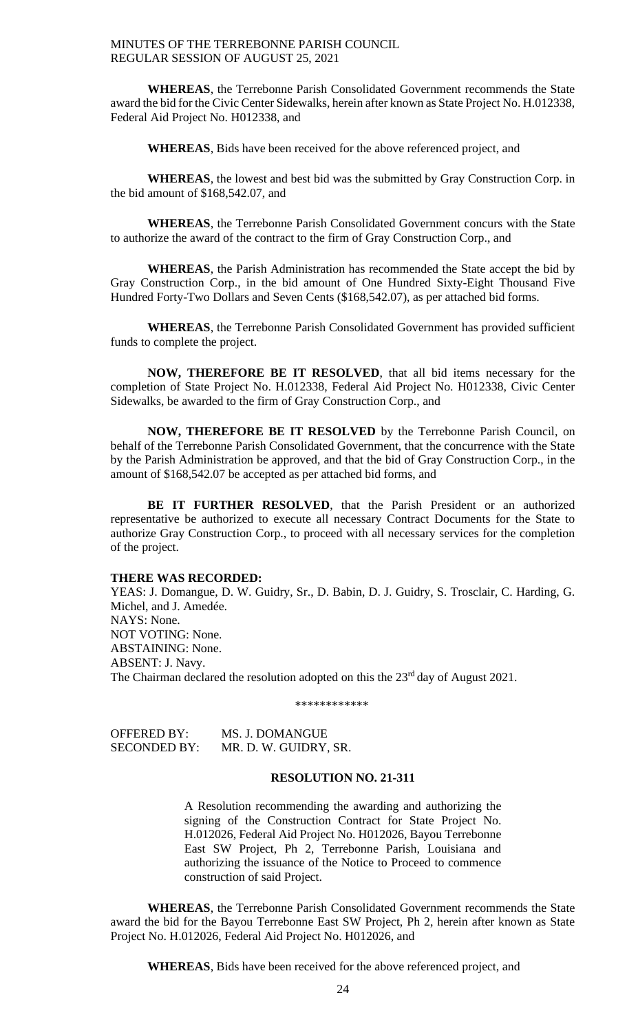**WHEREAS**, the Terrebonne Parish Consolidated Government recommends the State award the bid for the Civic Center Sidewalks, herein after known as State Project No. H.012338, Federal Aid Project No. H012338, and

**WHEREAS**, Bids have been received for the above referenced project, and

**WHEREAS**, the lowest and best bid was the submitted by Gray Construction Corp. in the bid amount of \$168,542.07, and

**WHEREAS**, the Terrebonne Parish Consolidated Government concurs with the State to authorize the award of the contract to the firm of Gray Construction Corp., and

**WHEREAS**, the Parish Administration has recommended the State accept the bid by Gray Construction Corp., in the bid amount of One Hundred Sixty-Eight Thousand Five Hundred Forty-Two Dollars and Seven Cents (\$168,542.07), as per attached bid forms.

**WHEREAS**, the Terrebonne Parish Consolidated Government has provided sufficient funds to complete the project.

**NOW, THEREFORE BE IT RESOLVED**, that all bid items necessary for the completion of State Project No. H.012338, Federal Aid Project No. H012338, Civic Center Sidewalks, be awarded to the firm of Gray Construction Corp., and

**NOW, THEREFORE BE IT RESOLVED** by the Terrebonne Parish Council, on behalf of the Terrebonne Parish Consolidated Government, that the concurrence with the State by the Parish Administration be approved, and that the bid of Gray Construction Corp., in the amount of \$168,542.07 be accepted as per attached bid forms, and

**BE IT FURTHER RESOLVED**, that the Parish President or an authorized representative be authorized to execute all necessary Contract Documents for the State to authorize Gray Construction Corp., to proceed with all necessary services for the completion of the project.

#### **THERE WAS RECORDED:**

YEAS: J. Domangue, D. W. Guidry, Sr., D. Babin, D. J. Guidry, S. Trosclair, C. Harding, G. Michel, and J. Amedée. NAYS: None. NOT VOTING: None. ABSTAINING: None. ABSENT: J. Navy. The Chairman declared the resolution adopted on this the 23<sup>rd</sup> day of August 2021.

\*\*\*\*\*\*\*\*\*\*\*\*

OFFERED BY: MS. J. DOMANGUE SECONDED BY: MR. D. W. GUIDRY, SR.

## **RESOLUTION NO. 21-311**

A Resolution recommending the awarding and authorizing the signing of the Construction Contract for State Project No. H.012026, Federal Aid Project No. H012026, Bayou Terrebonne East SW Project, Ph 2, Terrebonne Parish, Louisiana and authorizing the issuance of the Notice to Proceed to commence construction of said Project.

**WHEREAS**, the Terrebonne Parish Consolidated Government recommends the State award the bid for the Bayou Terrebonne East SW Project, Ph 2, herein after known as State Project No. H.012026, Federal Aid Project No. H012026, and

**WHEREAS**, Bids have been received for the above referenced project, and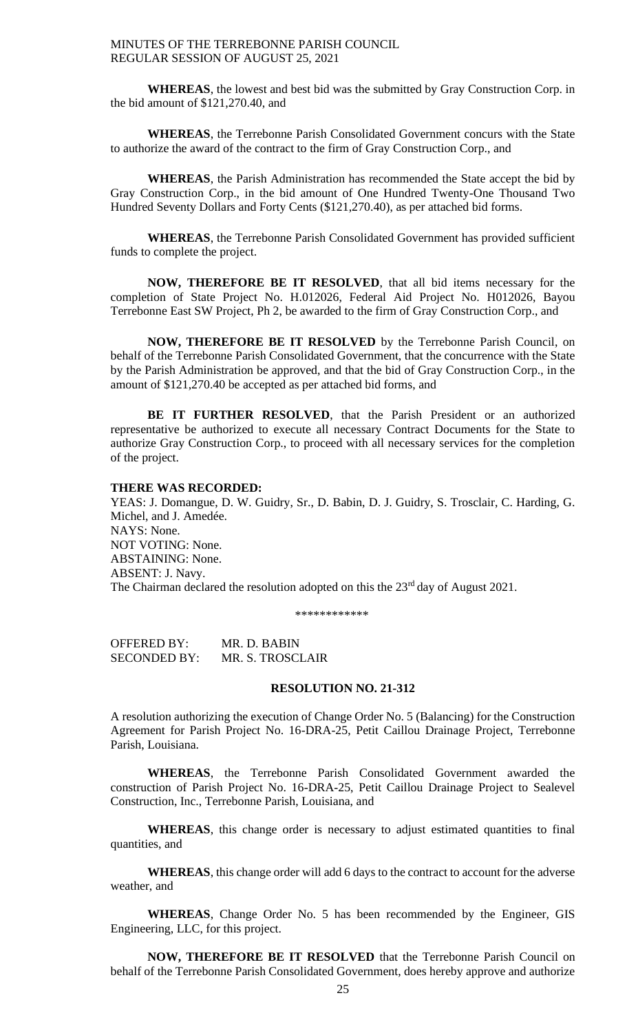**WHEREAS**, the lowest and best bid was the submitted by Gray Construction Corp. in the bid amount of \$121,270.40, and

**WHEREAS**, the Terrebonne Parish Consolidated Government concurs with the State to authorize the award of the contract to the firm of Gray Construction Corp., and

**WHEREAS**, the Parish Administration has recommended the State accept the bid by Gray Construction Corp., in the bid amount of One Hundred Twenty-One Thousand Two Hundred Seventy Dollars and Forty Cents (\$121,270.40), as per attached bid forms.

**WHEREAS**, the Terrebonne Parish Consolidated Government has provided sufficient funds to complete the project.

**NOW, THEREFORE BE IT RESOLVED**, that all bid items necessary for the completion of State Project No. H.012026, Federal Aid Project No. H012026, Bayou Terrebonne East SW Project, Ph 2, be awarded to the firm of Gray Construction Corp., and

**NOW, THEREFORE BE IT RESOLVED** by the Terrebonne Parish Council, on behalf of the Terrebonne Parish Consolidated Government, that the concurrence with the State by the Parish Administration be approved, and that the bid of Gray Construction Corp., in the amount of \$121,270.40 be accepted as per attached bid forms, and

**BE IT FURTHER RESOLVED**, that the Parish President or an authorized representative be authorized to execute all necessary Contract Documents for the State to authorize Gray Construction Corp., to proceed with all necessary services for the completion of the project.

#### **THERE WAS RECORDED:**

YEAS: J. Domangue, D. W. Guidry, Sr., D. Babin, D. J. Guidry, S. Trosclair, C. Harding, G. Michel, and J. Amedée. NAYS: None. NOT VOTING: None. ABSTAINING: None. ABSENT: J. Navy. The Chairman declared the resolution adopted on this the 23<sup>rd</sup> day of August 2021.

\*\*\*\*\*\*\*\*\*\*\*\*

OFFERED BY: MR. D. BABIN SECONDED BY: MR. S. TROSCLAIR

## **RESOLUTION NO. 21-312**

A resolution authorizing the execution of Change Order No. 5 (Balancing) for the Construction Agreement for Parish Project No. 16-DRA-25, Petit Caillou Drainage Project, Terrebonne Parish, Louisiana.

**WHEREAS**, the Terrebonne Parish Consolidated Government awarded the construction of Parish Project No. 16-DRA-25, Petit Caillou Drainage Project to Sealevel Construction, Inc., Terrebonne Parish, Louisiana, and

WHEREAS, this change order is necessary to adjust estimated quantities to final quantities, and

**WHEREAS**, this change order will add 6 days to the contract to account for the adverse weather, and

**WHEREAS**, Change Order No. 5 has been recommended by the Engineer, GIS Engineering, LLC, for this project.

**NOW, THEREFORE BE IT RESOLVED** that the Terrebonne Parish Council on behalf of the Terrebonne Parish Consolidated Government, does hereby approve and authorize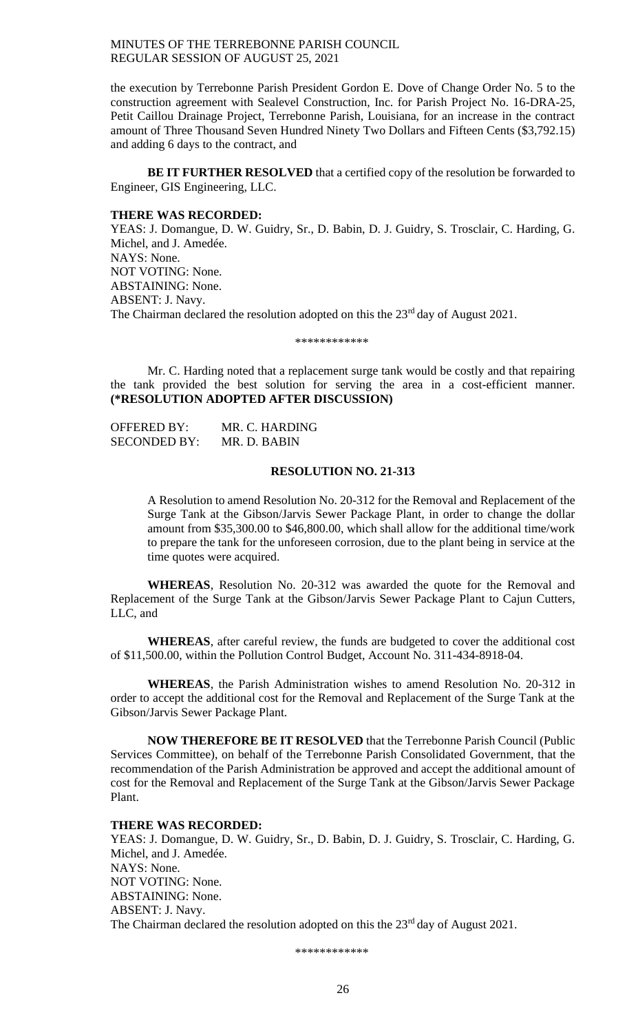the execution by Terrebonne Parish President Gordon E. Dove of Change Order No. 5 to the construction agreement with Sealevel Construction, Inc. for Parish Project No. 16-DRA-25, Petit Caillou Drainage Project, Terrebonne Parish, Louisiana, for an increase in the contract amount of Three Thousand Seven Hundred Ninety Two Dollars and Fifteen Cents (\$3,792.15) and adding 6 days to the contract, and

**BE IT FURTHER RESOLVED** that a certified copy of the resolution be forwarded to Engineer, GIS Engineering, LLC.

#### **THERE WAS RECORDED:**

YEAS: J. Domangue, D. W. Guidry, Sr., D. Babin, D. J. Guidry, S. Trosclair, C. Harding, G. Michel, and J. Amedée. NAYS: None. NOT VOTING: None. ABSTAINING: None. ABSENT: J. Navy. The Chairman declared the resolution adopted on this the 23<sup>rd</sup> day of August 2021.

\*\*\*\*\*\*\*\*\*\*\*\*

Mr. C. Harding noted that a replacement surge tank would be costly and that repairing the tank provided the best solution for serving the area in a cost-efficient manner. **(\*RESOLUTION ADOPTED AFTER DISCUSSION)**

OFFERED BY: MR. C. HARDING SECONDED BY: MR. D. BABIN

#### **RESOLUTION NO. 21-313**

A Resolution to amend Resolution No. 20-312 for the Removal and Replacement of the Surge Tank at the Gibson/Jarvis Sewer Package Plant, in order to change the dollar amount from \$35,300.00 to \$46,800.00, which shall allow for the additional time/work to prepare the tank for the unforeseen corrosion, due to the plant being in service at the time quotes were acquired.

**WHEREAS**, Resolution No. 20-312 was awarded the quote for the Removal and Replacement of the Surge Tank at the Gibson/Jarvis Sewer Package Plant to Cajun Cutters, LLC, and

**WHEREAS**, after careful review, the funds are budgeted to cover the additional cost of \$11,500.00, within the Pollution Control Budget, Account No. 311-434-8918-04.

**WHEREAS**, the Parish Administration wishes to amend Resolution No. 20-312 in order to accept the additional cost for the Removal and Replacement of the Surge Tank at the Gibson/Jarvis Sewer Package Plant.

**NOW THEREFORE BE IT RESOLVED** that the Terrebonne Parish Council (Public Services Committee), on behalf of the Terrebonne Parish Consolidated Government, that the recommendation of the Parish Administration be approved and accept the additional amount of cost for the Removal and Replacement of the Surge Tank at the Gibson/Jarvis Sewer Package Plant.

#### **THERE WAS RECORDED:**

YEAS: J. Domangue, D. W. Guidry, Sr., D. Babin, D. J. Guidry, S. Trosclair, C. Harding, G. Michel, and J. Amedée. NAYS: None. NOT VOTING: None. ABSTAINING: None. ABSENT: J. Navy. The Chairman declared the resolution adopted on this the 23<sup>rd</sup> day of August 2021.

\*\*\*\*\*\*\*\*\*\*\*\*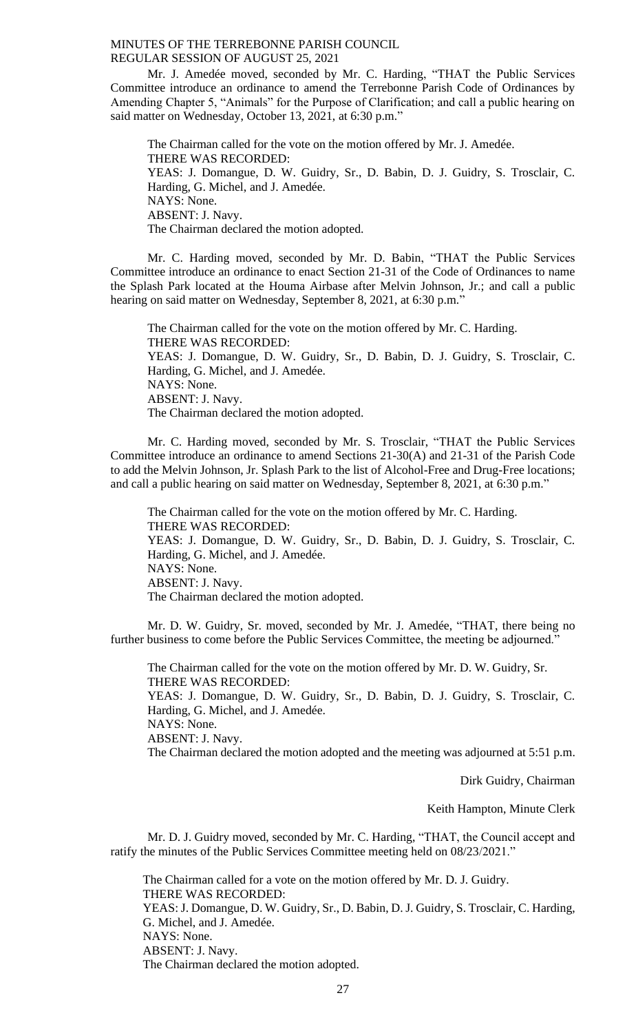Mr. J. Amedée moved, seconded by Mr. C. Harding, "THAT the Public Services Committee introduce an ordinance to amend the Terrebonne Parish Code of Ordinances by Amending Chapter 5, "Animals" for the Purpose of Clarification; and call a public hearing on said matter on Wednesday, October 13, 2021, at 6:30 p.m."

The Chairman called for the vote on the motion offered by Mr. J. Amedée. THERE WAS RECORDED: YEAS: J. Domangue, D. W. Guidry, Sr., D. Babin, D. J. Guidry, S. Trosclair, C. Harding, G. Michel, and J. Amedée. NAYS: None. ABSENT: J. Navy. The Chairman declared the motion adopted.

Mr. C. Harding moved, seconded by Mr. D. Babin, "THAT the Public Services Committee introduce an ordinance to enact Section 21-31 of the Code of Ordinances to name the Splash Park located at the Houma Airbase after Melvin Johnson, Jr.; and call a public hearing on said matter on Wednesday, September 8, 2021, at 6:30 p.m."

The Chairman called for the vote on the motion offered by Mr. C. Harding. THERE WAS RECORDED: YEAS: J. Domangue, D. W. Guidry, Sr., D. Babin, D. J. Guidry, S. Trosclair, C. Harding, G. Michel, and J. Amedée. NAYS: None. ABSENT: J. Navy. The Chairman declared the motion adopted.

Mr. C. Harding moved, seconded by Mr. S. Trosclair, "THAT the Public Services Committee introduce an ordinance to amend Sections 21-30(A) and 21-31 of the Parish Code to add the Melvin Johnson, Jr. Splash Park to the list of Alcohol-Free and Drug-Free locations; and call a public hearing on said matter on Wednesday, September 8, 2021, at 6:30 p.m."

The Chairman called for the vote on the motion offered by Mr. C. Harding. THERE WAS RECORDED: YEAS: J. Domangue, D. W. Guidry, Sr., D. Babin, D. J. Guidry, S. Trosclair, C. Harding, G. Michel, and J. Amedée. NAYS: None. ABSENT: J. Navy. The Chairman declared the motion adopted.

Mr. D. W. Guidry, Sr. moved, seconded by Mr. J. Amedée, "THAT, there being no further business to come before the Public Services Committee, the meeting be adjourned."

The Chairman called for the vote on the motion offered by Mr. D. W. Guidry, Sr. THERE WAS RECORDED: YEAS: J. Domangue, D. W. Guidry, Sr., D. Babin, D. J. Guidry, S. Trosclair, C. Harding, G. Michel, and J. Amedée. NAYS: None. ABSENT: J. Navy. The Chairman declared the motion adopted and the meeting was adjourned at 5:51 p.m.

Dirk Guidry, Chairman

Keith Hampton, Minute Clerk

Mr. D. J. Guidry moved, seconded by Mr. C. Harding, "THAT, the Council accept and ratify the minutes of the Public Services Committee meeting held on 08/23/2021."

The Chairman called for a vote on the motion offered by Mr. D. J. Guidry. THERE WAS RECORDED: YEAS: J. Domangue, D. W. Guidry, Sr., D. Babin, D. J. Guidry, S. Trosclair, C. Harding, G. Michel, and J. Amedée. NAYS: None. ABSENT: J. Navy. The Chairman declared the motion adopted.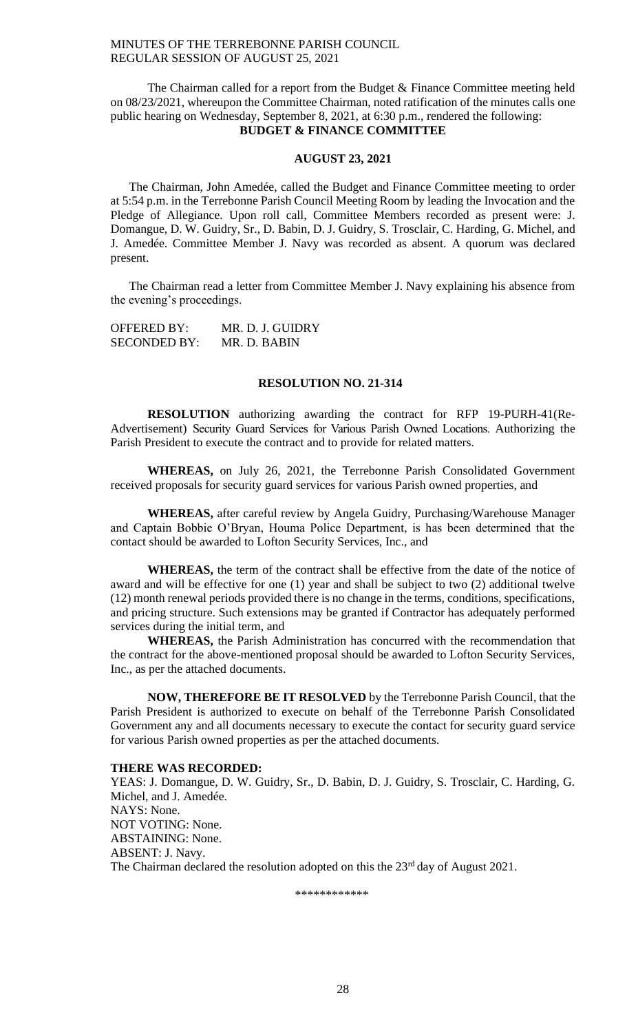The Chairman called for a report from the Budget & Finance Committee meeting held on 08/23/2021, whereupon the Committee Chairman, noted ratification of the minutes calls one public hearing on Wednesday, September 8, 2021, at 6:30 p.m., rendered the following: **BUDGET & FINANCE COMMITTEE**

#### **AUGUST 23, 2021**

The Chairman, John Amedée, called the Budget and Finance Committee meeting to order at 5:54 p.m. in the Terrebonne Parish Council Meeting Room by leading the Invocation and the Pledge of Allegiance. Upon roll call, Committee Members recorded as present were: J. Domangue, D. W. Guidry, Sr., D. Babin, D. J. Guidry, S. Trosclair, C. Harding, G. Michel, and J. Amedée. Committee Member J. Navy was recorded as absent. A quorum was declared present.

The Chairman read a letter from Committee Member J. Navy explaining his absence from the evening's proceedings.

| <b>OFFERED BY:</b>  | MR. D. J. GUIDRY |
|---------------------|------------------|
| <b>SECONDED BY:</b> | MR. D. BABIN     |

#### **RESOLUTION NO. 21-314**

**RESOLUTION** authorizing awarding the contract for RFP 19-PURH-41(Re-Advertisement) Security Guard Services for Various Parish Owned Locations. Authorizing the Parish President to execute the contract and to provide for related matters.

**WHEREAS,** on July 26, 2021, the Terrebonne Parish Consolidated Government received proposals for security guard services for various Parish owned properties, and

**WHEREAS,** after careful review by Angela Guidry, Purchasing/Warehouse Manager and Captain Bobbie O'Bryan, Houma Police Department, is has been determined that the contact should be awarded to Lofton Security Services, Inc., and

**WHEREAS,** the term of the contract shall be effective from the date of the notice of award and will be effective for one (1) year and shall be subject to two (2) additional twelve (12) month renewal periods provided there is no change in the terms, conditions, specifications, and pricing structure. Such extensions may be granted if Contractor has adequately performed services during the initial term, and

**WHEREAS,** the Parish Administration has concurred with the recommendation that the contract for the above-mentioned proposal should be awarded to Lofton Security Services, Inc., as per the attached documents.

**NOW, THEREFORE BE IT RESOLVED** by the Terrebonne Parish Council, that the Parish President is authorized to execute on behalf of the Terrebonne Parish Consolidated Government any and all documents necessary to execute the contact for security guard service for various Parish owned properties as per the attached documents.

#### **THERE WAS RECORDED:**

YEAS: J. Domangue, D. W. Guidry, Sr., D. Babin, D. J. Guidry, S. Trosclair, C. Harding, G. Michel, and J. Amedée. NAYS: None. NOT VOTING: None. ABSTAINING: None. ABSENT: J. Navy. The Chairman declared the resolution adopted on this the  $23<sup>rd</sup>$  day of August 2021.

\*\*\*\*\*\*\*\*\*\*\*\*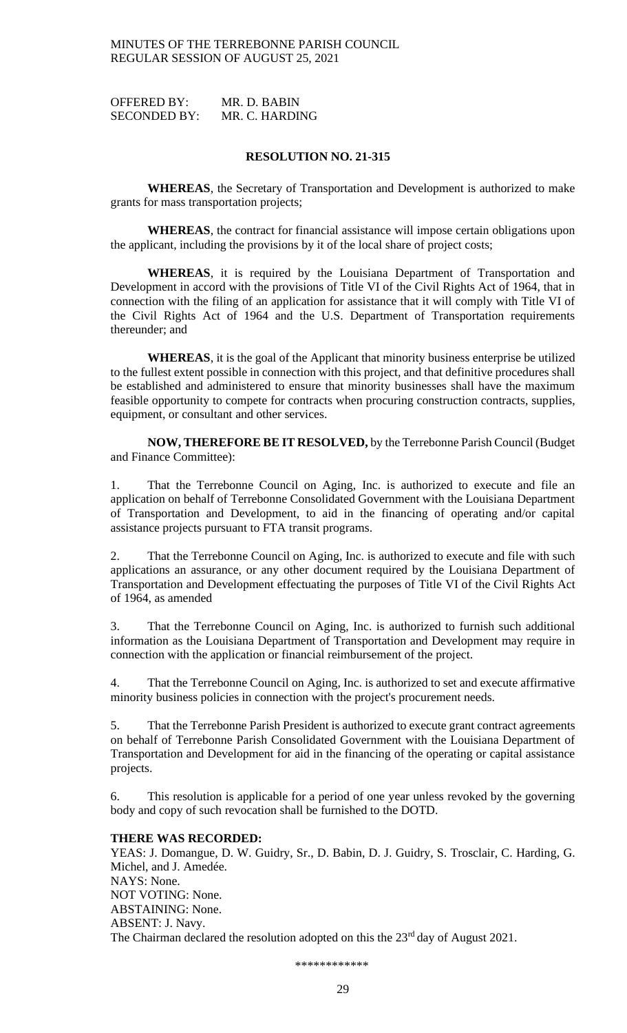OFFERED BY: MR. D. BABIN SECONDED BY: MR. C. HARDING

## **RESOLUTION NO. 21-315**

**WHEREAS**, the Secretary of Transportation and Development is authorized to make grants for mass transportation projects;

**WHEREAS**, the contract for financial assistance will impose certain obligations upon the applicant, including the provisions by it of the local share of project costs;

**WHEREAS**, it is required by the Louisiana Department of Transportation and Development in accord with the provisions of Title VI of the Civil Rights Act of 1964, that in connection with the filing of an application for assistance that it will comply with Title VI of the Civil Rights Act of 1964 and the U.S. Department of Transportation requirements thereunder; and

**WHEREAS**, it is the goal of the Applicant that minority business enterprise be utilized to the fullest extent possible in connection with this project, and that definitive procedures shall be established and administered to ensure that minority businesses shall have the maximum feasible opportunity to compete for contracts when procuring construction contracts, supplies, equipment, or consultant and other services.

**NOW, THEREFORE BE IT RESOLVED,** by the Terrebonne Parish Council (Budget and Finance Committee):

1. That the Terrebonne Council on Aging, Inc. is authorized to execute and file an application on behalf of Terrebonne Consolidated Government with the Louisiana Department of Transportation and Development, to aid in the financing of operating and/or capital assistance projects pursuant to FTA transit programs.

2. That the Terrebonne Council on Aging, Inc. is authorized to execute and file with such applications an assurance, or any other document required by the Louisiana Department of Transportation and Development effectuating the purposes of Title VI of the Civil Rights Act of 1964, as amended

3. That the Terrebonne Council on Aging, Inc. is authorized to furnish such additional information as the Louisiana Department of Transportation and Development may require in connection with the application or financial reimbursement of the project.

4. That the Terrebonne Council on Aging, Inc. is authorized to set and execute affirmative minority business policies in connection with the project's procurement needs.

5. That the Terrebonne Parish President is authorized to execute grant contract agreements on behalf of Terrebonne Parish Consolidated Government with the Louisiana Department of Transportation and Development for aid in the financing of the operating or capital assistance projects.

6. This resolution is applicable for a period of one year unless revoked by the governing body and copy of such revocation shall be furnished to the DOTD.

### **THERE WAS RECORDED:**

YEAS: J. Domangue, D. W. Guidry, Sr., D. Babin, D. J. Guidry, S. Trosclair, C. Harding, G. Michel, and J. Amedée. NAYS: None. NOT VOTING: None. ABSTAINING: None. ABSENT: J. Navy. The Chairman declared the resolution adopted on this the 23<sup>rd</sup> day of August 2021.

\*\*\*\*\*\*\*\*\*\*\*\*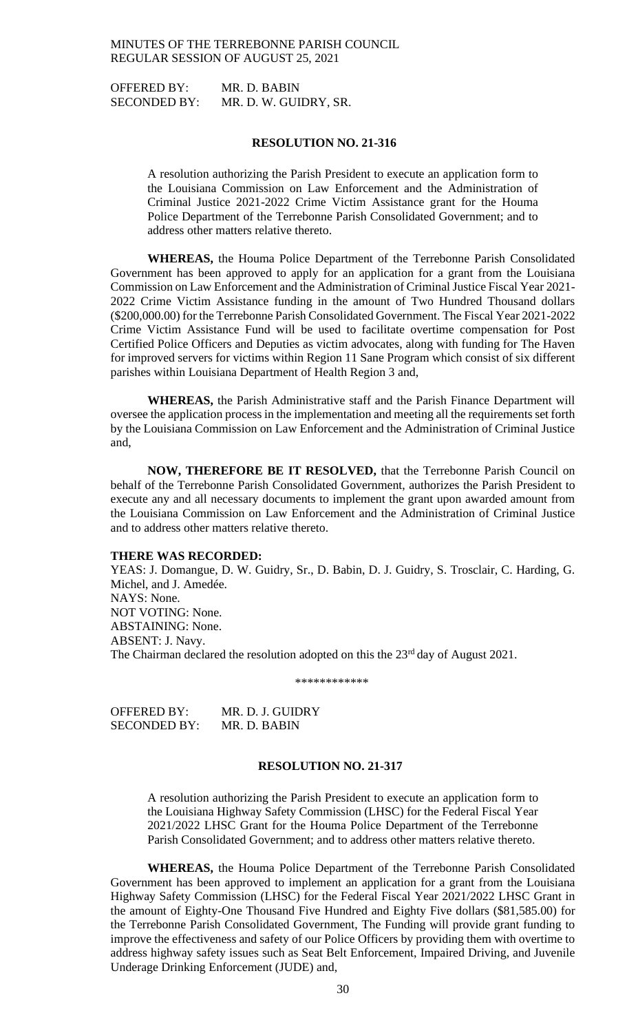OFFERED BY: MR. D. BABIN SECONDED BY: MR. D. W. GUIDRY, SR.

#### **RESOLUTION NO. 21-316**

A resolution authorizing the Parish President to execute an application form to the Louisiana Commission on Law Enforcement and the Administration of Criminal Justice 2021-2022 Crime Victim Assistance grant for the Houma Police Department of the Terrebonne Parish Consolidated Government; and to address other matters relative thereto.

**WHEREAS,** the Houma Police Department of the Terrebonne Parish Consolidated Government has been approved to apply for an application for a grant from the Louisiana Commission on Law Enforcement and the Administration of Criminal Justice Fiscal Year 2021- 2022 Crime Victim Assistance funding in the amount of Two Hundred Thousand dollars (\$200,000.00) for the Terrebonne Parish Consolidated Government. The Fiscal Year 2021-2022 Crime Victim Assistance Fund will be used to facilitate overtime compensation for Post Certified Police Officers and Deputies as victim advocates, along with funding for The Haven for improved servers for victims within Region 11 Sane Program which consist of six different parishes within Louisiana Department of Health Region 3 and,

**WHEREAS,** the Parish Administrative staff and the Parish Finance Department will oversee the application process in the implementation and meeting all the requirements set forth by the Louisiana Commission on Law Enforcement and the Administration of Criminal Justice and,

**NOW, THEREFORE BE IT RESOLVED,** that the Terrebonne Parish Council on behalf of the Terrebonne Parish Consolidated Government, authorizes the Parish President to execute any and all necessary documents to implement the grant upon awarded amount from the Louisiana Commission on Law Enforcement and the Administration of Criminal Justice and to address other matters relative thereto.

#### **THERE WAS RECORDED:**

YEAS: J. Domangue, D. W. Guidry, Sr., D. Babin, D. J. Guidry, S. Trosclair, C. Harding, G. Michel, and J. Amedée. NAYS: None. NOT VOTING: None. ABSTAINING: None. ABSENT: J. Navy. The Chairman declared the resolution adopted on this the  $23<sup>rd</sup>$  day of August 2021.

\*\*\*\*\*\*\*\*\*\*\*\*

OFFERED BY: MR. D. J. GUIDRY SECONDED BY: MR. D. BABIN

## **RESOLUTION NO. 21-317**

A resolution authorizing the Parish President to execute an application form to the Louisiana Highway Safety Commission (LHSC) for the Federal Fiscal Year 2021/2022 LHSC Grant for the Houma Police Department of the Terrebonne Parish Consolidated Government; and to address other matters relative thereto.

**WHEREAS,** the Houma Police Department of the Terrebonne Parish Consolidated Government has been approved to implement an application for a grant from the Louisiana Highway Safety Commission (LHSC) for the Federal Fiscal Year 2021/2022 LHSC Grant in the amount of Eighty-One Thousand Five Hundred and Eighty Five dollars (\$81,585.00) for the Terrebonne Parish Consolidated Government, The Funding will provide grant funding to improve the effectiveness and safety of our Police Officers by providing them with overtime to address highway safety issues such as Seat Belt Enforcement, Impaired Driving, and Juvenile Underage Drinking Enforcement (JUDE) and,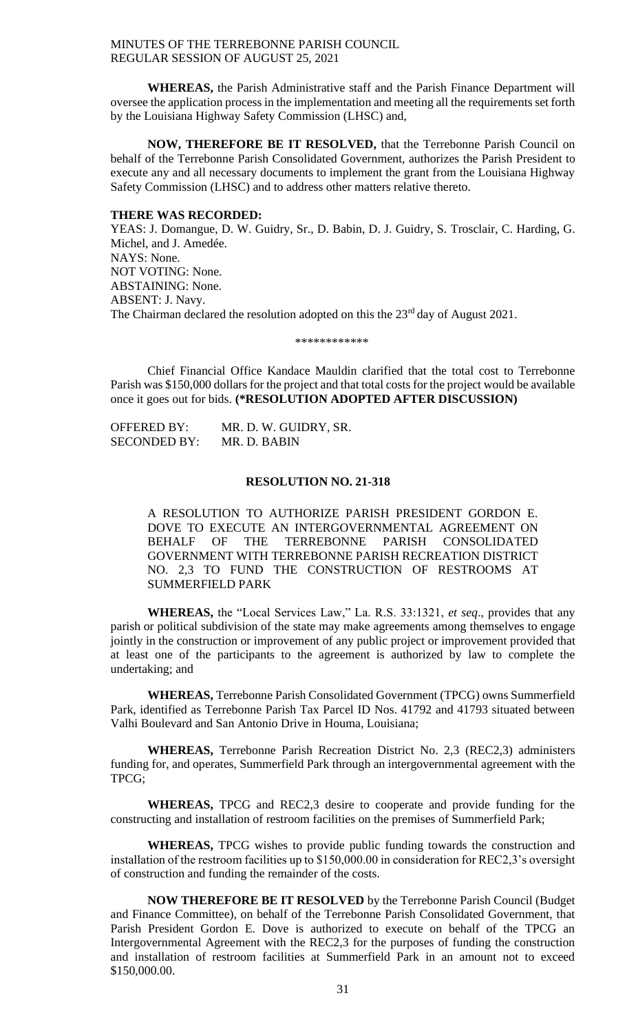**WHEREAS,** the Parish Administrative staff and the Parish Finance Department will oversee the application process in the implementation and meeting all the requirements set forth by the Louisiana Highway Safety Commission (LHSC) and,

**NOW, THEREFORE BE IT RESOLVED,** that the Terrebonne Parish Council on behalf of the Terrebonne Parish Consolidated Government, authorizes the Parish President to execute any and all necessary documents to implement the grant from the Louisiana Highway Safety Commission (LHSC) and to address other matters relative thereto.

#### **THERE WAS RECORDED:**

YEAS: J. Domangue, D. W. Guidry, Sr., D. Babin, D. J. Guidry, S. Trosclair, C. Harding, G. Michel, and J. Amedée. NAYS: None. NOT VOTING: None. ABSTAINING: None. ABSENT: J. Navy. The Chairman declared the resolution adopted on this the 23<sup>rd</sup> day of August 2021.

\*\*\*\*\*\*\*\*\*\*\*\*

Chief Financial Office Kandace Mauldin clarified that the total cost to Terrebonne Parish was \$150,000 dollars for the project and that total costs for the project would be available once it goes out for bids. **(\*RESOLUTION ADOPTED AFTER DISCUSSION)**

OFFERED BY: MR. D. W. GUIDRY, SR. SECONDED BY: MR. D. BABIN

## **RESOLUTION NO. 21-318**

A RESOLUTION TO AUTHORIZE PARISH PRESIDENT GORDON E. DOVE TO EXECUTE AN INTERGOVERNMENTAL AGREEMENT ON BEHALF OF THE TERREBONNE PARISH CONSOLIDATED GOVERNMENT WITH TERREBONNE PARISH RECREATION DISTRICT NO. 2,3 TO FUND THE CONSTRUCTION OF RESTROOMS AT SUMMERFIELD PARK

**WHEREAS,** the "Local Services Law," La. R.S. 33:1321, *et seq*., provides that any parish or political subdivision of the state may make agreements among themselves to engage jointly in the construction or improvement of any public project or improvement provided that at least one of the participants to the agreement is authorized by law to complete the undertaking; and

**WHEREAS,** Terrebonne Parish Consolidated Government (TPCG) owns Summerfield Park, identified as Terrebonne Parish Tax Parcel ID Nos. 41792 and 41793 situated between Valhi Boulevard and San Antonio Drive in Houma, Louisiana;

**WHEREAS,** Terrebonne Parish Recreation District No. 2,3 (REC2,3) administers funding for, and operates, Summerfield Park through an intergovernmental agreement with the TPCG;

**WHEREAS,** TPCG and REC2,3 desire to cooperate and provide funding for the constructing and installation of restroom facilities on the premises of Summerfield Park;

**WHEREAS,** TPCG wishes to provide public funding towards the construction and installation of the restroom facilities up to \$150,000.00 in consideration for REC2,3's oversight of construction and funding the remainder of the costs.

**NOW THEREFORE BE IT RESOLVED** by the Terrebonne Parish Council (Budget and Finance Committee), on behalf of the Terrebonne Parish Consolidated Government, that Parish President Gordon E. Dove is authorized to execute on behalf of the TPCG an Intergovernmental Agreement with the REC2,3 for the purposes of funding the construction and installation of restroom facilities at Summerfield Park in an amount not to exceed \$150,000.00.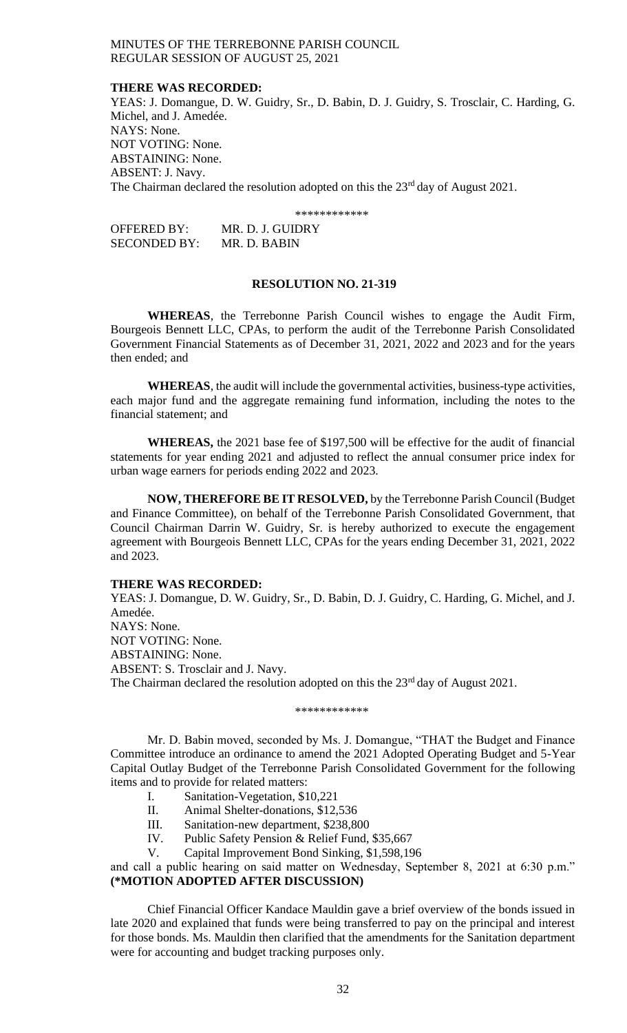#### **THERE WAS RECORDED:**

YEAS: J. Domangue, D. W. Guidry, Sr., D. Babin, D. J. Guidry, S. Trosclair, C. Harding, G. Michel, and J. Amedée. NAYS: None. NOT VOTING: None. ABSTAINING: None. ABSENT: J. Navy. The Chairman declared the resolution adopted on this the  $23<sup>rd</sup>$  day of August 2021.

\*\*\*\*\*\*\*\*\*\*\*\*

| OFFERED BY:         | MR. D. J. GUIDRY |
|---------------------|------------------|
| <b>SECONDED BY:</b> | MR. D. BABIN     |

#### **RESOLUTION NO. 21-319**

**WHEREAS**, the Terrebonne Parish Council wishes to engage the Audit Firm, Bourgeois Bennett LLC, CPAs, to perform the audit of the Terrebonne Parish Consolidated Government Financial Statements as of December 31, 2021, 2022 and 2023 and for the years then ended; and

**WHEREAS**, the audit will include the governmental activities, business-type activities, each major fund and the aggregate remaining fund information, including the notes to the financial statement; and

**WHEREAS,** the 2021 base fee of \$197,500 will be effective for the audit of financial statements for year ending 2021 and adjusted to reflect the annual consumer price index for urban wage earners for periods ending 2022 and 2023.

**NOW, THEREFORE BE IT RESOLVED,** by the Terrebonne Parish Council (Budget and Finance Committee), on behalf of the Terrebonne Parish Consolidated Government, that Council Chairman Darrin W. Guidry, Sr. is hereby authorized to execute the engagement agreement with Bourgeois Bennett LLC, CPAs for the years ending December 31, 2021, 2022 and 2023.

#### **THERE WAS RECORDED:**

YEAS: J. Domangue, D. W. Guidry, Sr., D. Babin, D. J. Guidry, C. Harding, G. Michel, and J. Amedée. NAYS: None. NOT VOTING: None. ABSTAINING: None. ABSENT: S. Trosclair and J. Navy. The Chairman declared the resolution adopted on this the 23<sup>rd</sup> day of August 2021.

#### \*\*\*\*\*\*\*\*\*\*\*\*

Mr. D. Babin moved, seconded by Ms. J. Domangue, "THAT the Budget and Finance Committee introduce an ordinance to amend the 2021 Adopted Operating Budget and 5-Year Capital Outlay Budget of the Terrebonne Parish Consolidated Government for the following items and to provide for related matters:

- I. Sanitation-Vegetation, \$10,221
- II. Animal Shelter-donations, \$12,536
- III. Sanitation-new department, \$238,800
- IV. Public Safety Pension & Relief Fund, \$35,667

V. Capital Improvement Bond Sinking, \$1,598,196

and call a public hearing on said matter on Wednesday, September 8, 2021 at 6:30 p.m." **(\*MOTION ADOPTED AFTER DISCUSSION)**

Chief Financial Officer Kandace Mauldin gave a brief overview of the bonds issued in late 2020 and explained that funds were being transferred to pay on the principal and interest for those bonds. Ms. Mauldin then clarified that the amendments for the Sanitation department were for accounting and budget tracking purposes only.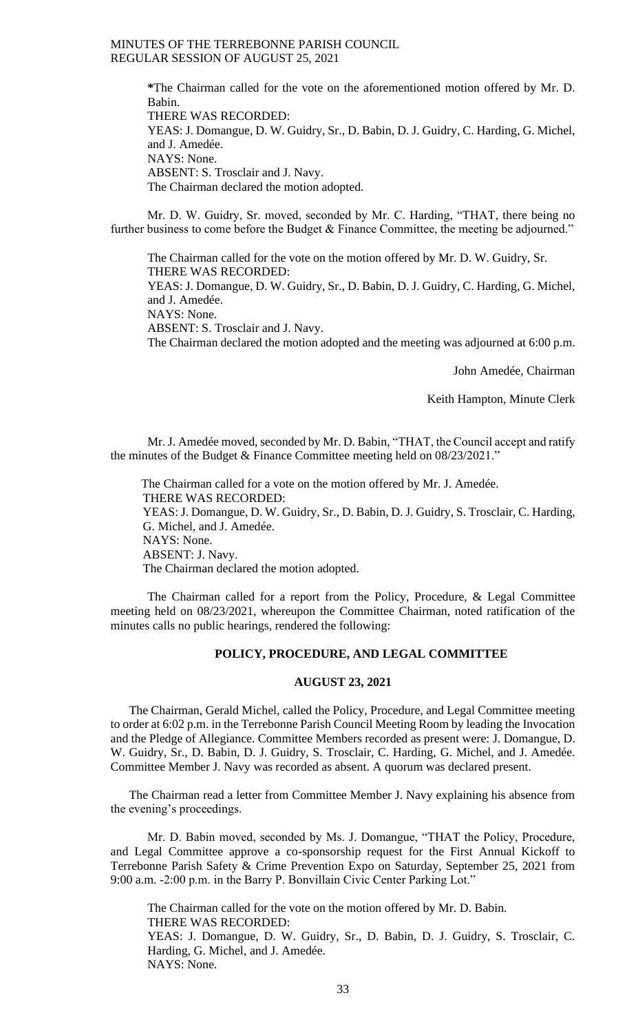**\***The Chairman called for the vote on the aforementioned motion offered by Mr. D. Babin. THERE WAS RECORDED: YEAS: J. Domangue, D. W. Guidry, Sr., D. Babin, D. J. Guidry, C. Harding, G. Michel, and J. Amedée. NAYS: None. ABSENT: S. Trosclair and J. Navy. The Chairman declared the motion adopted.

Mr. D. W. Guidry, Sr. moved, seconded by Mr. C. Harding, "THAT, there being no further business to come before the Budget & Finance Committee, the meeting be adjourned."

The Chairman called for the vote on the motion offered by Mr. D. W. Guidry, Sr. THERE WAS RECORDED: YEAS: J. Domangue, D. W. Guidry, Sr., D. Babin, D. J. Guidry, C. Harding, G. Michel, and J. Amedée. NAYS: None.

ABSENT: S. Trosclair and J. Navy.

The Chairman declared the motion adopted and the meeting was adjourned at 6:00 p.m.

John Amedée, Chairman

Keith Hampton, Minute Clerk

Mr. J. Amedée moved, seconded by Mr. D. Babin, "THAT, the Council accept and ratify the minutes of the Budget & Finance Committee meeting held on 08/23/2021."

 The Chairman called for a vote on the motion offered by Mr. J. Amedée. THERE WAS RECORDED: YEAS: J. Domangue, D. W. Guidry, Sr., D. Babin, D. J. Guidry, S. Trosclair, C. Harding, G. Michel, and J. Amedée. NAYS: None. ABSENT: J. Navy. The Chairman declared the motion adopted.

The Chairman called for a report from the Policy, Procedure, & Legal Committee meeting held on 08/23/2021, whereupon the Committee Chairman, noted ratification of the minutes calls no public hearings, rendered the following:

#### **POLICY, PROCEDURE, AND LEGAL COMMITTEE**

#### **AUGUST 23, 2021**

The Chairman, Gerald Michel, called the Policy, Procedure, and Legal Committee meeting to order at 6:02 p.m. in the Terrebonne Parish Council Meeting Room by leading the Invocation and the Pledge of Allegiance. Committee Members recorded as present were: J. Domangue, D. W. Guidry, Sr., D. Babin, D. J. Guidry, S. Trosclair, C. Harding, G. Michel, and J. Amedée. Committee Member J. Navy was recorded as absent. A quorum was declared present.

The Chairman read a letter from Committee Member J. Navy explaining his absence from the evening's proceedings.

Mr. D. Babin moved, seconded by Ms. J. Domangue, "THAT the Policy, Procedure, and Legal Committee approve a co-sponsorship request for the First Annual Kickoff to Terrebonne Parish Safety & Crime Prevention Expo on Saturday, September 25, 2021 from 9:00 a.m. -2:00 p.m. in the Barry P. Bonvillain Civic Center Parking Lot."

The Chairman called for the vote on the motion offered by Mr. D. Babin. THERE WAS RECORDED: YEAS: J. Domangue, D. W. Guidry, Sr., D. Babin, D. J. Guidry, S. Trosclair, C. Harding, G. Michel, and J. Amedée. NAYS: None.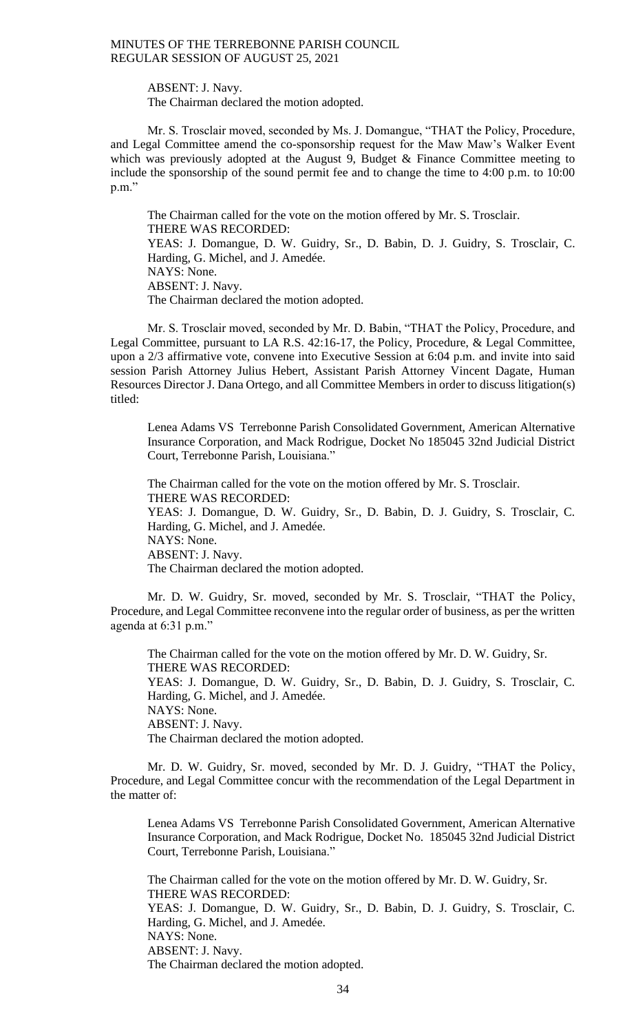ABSENT: J. Navy.

The Chairman declared the motion adopted.

Mr. S. Trosclair moved, seconded by Ms. J. Domangue, "THAT the Policy, Procedure, and Legal Committee amend the co-sponsorship request for the Maw Maw's Walker Event which was previously adopted at the August 9, Budget  $\&$  Finance Committee meeting to include the sponsorship of the sound permit fee and to change the time to 4:00 p.m. to 10:00 p.m."

The Chairman called for the vote on the motion offered by Mr. S. Trosclair. THERE WAS RECORDED: YEAS: J. Domangue, D. W. Guidry, Sr., D. Babin, D. J. Guidry, S. Trosclair, C. Harding, G. Michel, and J. Amedée. NAYS: None. ABSENT: J. Navy. The Chairman declared the motion adopted.

Mr. S. Trosclair moved, seconded by Mr. D. Babin, "THAT the Policy, Procedure, and Legal Committee, pursuant to LA R.S. 42:16-17, the Policy, Procedure, & Legal Committee, upon a 2/3 affirmative vote, convene into Executive Session at 6:04 p.m. and invite into said session Parish Attorney Julius Hebert, Assistant Parish Attorney Vincent Dagate, Human Resources Director J. Dana Ortego, and all Committee Members in order to discuss litigation(s) titled:

Lenea Adams VS Terrebonne Parish Consolidated Government, American Alternative Insurance Corporation, and Mack Rodrigue, Docket No 185045 32nd Judicial District Court, Terrebonne Parish, Louisiana."

The Chairman called for the vote on the motion offered by Mr. S. Trosclair. THERE WAS RECORDED: YEAS: J. Domangue, D. W. Guidry, Sr., D. Babin, D. J. Guidry, S. Trosclair, C. Harding, G. Michel, and J. Amedée. NAYS: None. ABSENT: J. Navy.

The Chairman declared the motion adopted.

Mr. D. W. Guidry, Sr. moved, seconded by Mr. S. Trosclair, "THAT the Policy, Procedure, and Legal Committee reconvene into the regular order of business, as per the written agenda at 6:31 p.m."

The Chairman called for the vote on the motion offered by Mr. D. W. Guidry, Sr. THERE WAS RECORDED:

YEAS: J. Domangue, D. W. Guidry, Sr., D. Babin, D. J. Guidry, S. Trosclair, C. Harding, G. Michel, and J. Amedée. NAYS: None. ABSENT: J. Navy.

The Chairman declared the motion adopted.

Mr. D. W. Guidry, Sr. moved, seconded by Mr. D. J. Guidry, "THAT the Policy, Procedure, and Legal Committee concur with the recommendation of the Legal Department in the matter of:

Lenea Adams VS Terrebonne Parish Consolidated Government, American Alternative Insurance Corporation, and Mack Rodrigue, Docket No. 185045 32nd Judicial District Court, Terrebonne Parish, Louisiana."

The Chairman called for the vote on the motion offered by Mr. D. W. Guidry, Sr. THERE WAS RECORDED: YEAS: J. Domangue, D. W. Guidry, Sr., D. Babin, D. J. Guidry, S. Trosclair, C. Harding, G. Michel, and J. Amedée. NAYS: None. ABSENT: J. Navy. The Chairman declared the motion adopted.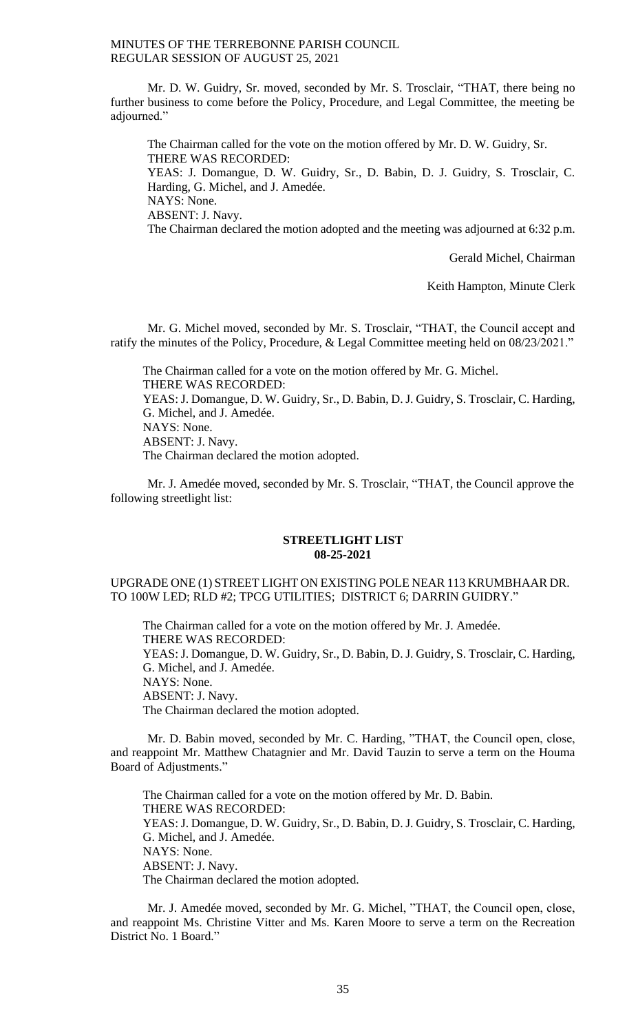Mr. D. W. Guidry, Sr. moved, seconded by Mr. S. Trosclair, "THAT, there being no further business to come before the Policy, Procedure, and Legal Committee, the meeting be adjourned."

The Chairman called for the vote on the motion offered by Mr. D. W. Guidry, Sr. THERE WAS RECORDED: YEAS: J. Domangue, D. W. Guidry, Sr., D. Babin, D. J. Guidry, S. Trosclair, C. Harding, G. Michel, and J. Amedée. NAYS: None. ABSENT: J. Navy. The Chairman declared the motion adopted and the meeting was adjourned at 6:32 p.m.

Gerald Michel, Chairman

Keith Hampton, Minute Clerk

Mr. G. Michel moved, seconded by Mr. S. Trosclair, "THAT, the Council accept and ratify the minutes of the Policy, Procedure, & Legal Committee meeting held on 08/23/2021."

The Chairman called for a vote on the motion offered by Mr. G. Michel. THERE WAS RECORDED: YEAS: J. Domangue, D. W. Guidry, Sr., D. Babin, D. J. Guidry, S. Trosclair, C. Harding, G. Michel, and J. Amedée. NAYS: None. ABSENT: J. Navy. The Chairman declared the motion adopted.

Mr. J. Amedée moved, seconded by Mr. S. Trosclair, "THAT, the Council approve the following streetlight list:

#### **STREETLIGHT LIST 08-25-2021**

## UPGRADE ONE (1) STREET LIGHT ON EXISTING POLE NEAR 113 KRUMBHAAR DR. TO 100W LED; RLD #2; TPCG UTILITIES; DISTRICT 6; DARRIN GUIDRY."

The Chairman called for a vote on the motion offered by Mr. J. Amedée. THERE WAS RECORDED: YEAS: J. Domangue, D. W. Guidry, Sr., D. Babin, D. J. Guidry, S. Trosclair, C. Harding, G. Michel, and J. Amedée. NAYS: None. ABSENT: J. Navy. The Chairman declared the motion adopted.

Mr. D. Babin moved, seconded by Mr. C. Harding, "THAT, the Council open, close, and reappoint Mr. Matthew Chatagnier and Mr. David Tauzin to serve a term on the Houma Board of Adjustments."

The Chairman called for a vote on the motion offered by Mr. D. Babin. THERE WAS RECORDED: YEAS: J. Domangue, D. W. Guidry, Sr., D. Babin, D. J. Guidry, S. Trosclair, C. Harding, G. Michel, and J. Amedée. NAYS: None. ABSENT: J. Navy. The Chairman declared the motion adopted.

Mr. J. Amedée moved, seconded by Mr. G. Michel, "THAT, the Council open, close, and reappoint Ms. Christine Vitter and Ms. Karen Moore to serve a term on the Recreation District No. 1 Board."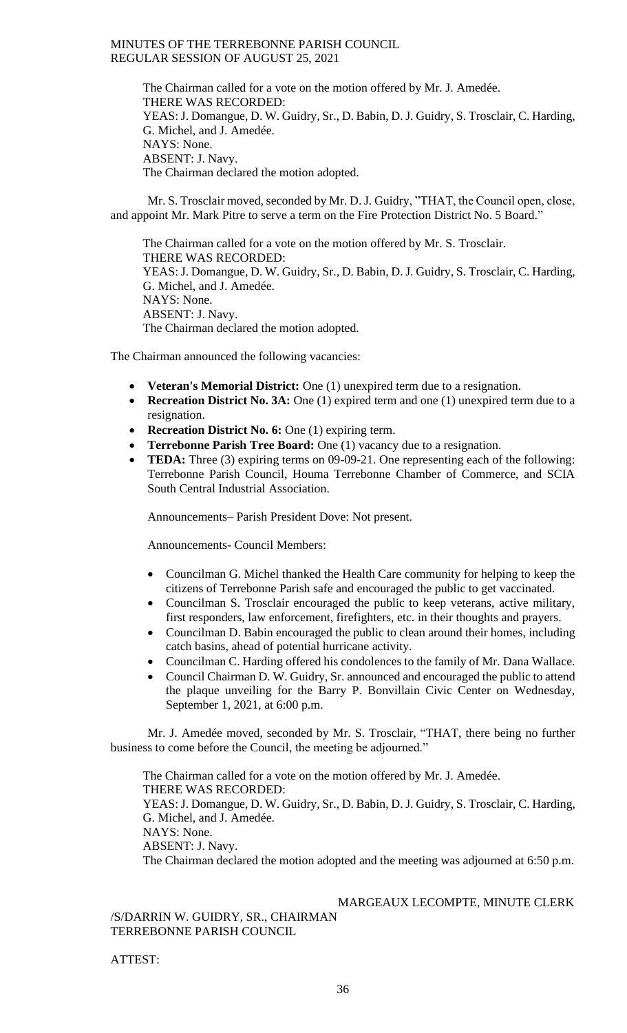The Chairman called for a vote on the motion offered by Mr. J. Amedée. THERE WAS RECORDED: YEAS: J. Domangue, D. W. Guidry, Sr., D. Babin, D. J. Guidry, S. Trosclair, C. Harding, G. Michel, and J. Amedée. NAYS: None. ABSENT: J. Navy. The Chairman declared the motion adopted.

Mr. S. Trosclair moved, seconded by Mr. D. J. Guidry, "THAT, the Council open, close, and appoint Mr. Mark Pitre to serve a term on the Fire Protection District No. 5 Board."

The Chairman called for a vote on the motion offered by Mr. S. Trosclair. THERE WAS RECORDED: YEAS: J. Domangue, D. W. Guidry, Sr., D. Babin, D. J. Guidry, S. Trosclair, C. Harding, G. Michel, and J. Amedée. NAYS: None. ABSENT: J. Navy. The Chairman declared the motion adopted.

The Chairman announced the following vacancies:

- **Veteran's Memorial District:** One (1) unexpired term due to a resignation.
- **Recreation District No. 3A:** One (1) expired term and one (1) unexpired term due to a resignation.
- **Recreation District No. 6:** One (1) expiring term.
- **Terrebonne Parish Tree Board:** One (1) vacancy due to a resignation.
- **TEDA:** Three (3) expiring terms on 09-09-21. One representing each of the following: Terrebonne Parish Council, Houma Terrebonne Chamber of Commerce, and SCIA South Central Industrial Association.

Announcements– Parish President Dove: Not present.

Announcements- Council Members:

- Councilman G. Michel thanked the Health Care community for helping to keep the citizens of Terrebonne Parish safe and encouraged the public to get vaccinated.
- Councilman S. Trosclair encouraged the public to keep veterans, active military, first responders, law enforcement, firefighters, etc. in their thoughts and prayers.
- Councilman D. Babin encouraged the public to clean around their homes, including catch basins, ahead of potential hurricane activity.
- Councilman C. Harding offered his condolences to the family of Mr. Dana Wallace.
- Council Chairman D. W. Guidry, Sr. announced and encouraged the public to attend the plaque unveiling for the Barry P. Bonvillain Civic Center on Wednesday, September 1, 2021, at 6:00 p.m.

Mr. J. Amedée moved, seconded by Mr. S. Trosclair, "THAT, there being no further business to come before the Council, the meeting be adjourned."

The Chairman called for a vote on the motion offered by Mr. J. Amedée. THERE WAS RECORDED: YEAS: J. Domangue, D. W. Guidry, Sr., D. Babin, D. J. Guidry, S. Trosclair, C. Harding, G. Michel, and J. Amedée. NAYS: None. ABSENT: J. Navy. The Chairman declared the motion adopted and the meeting was adjourned at 6:50 p.m.

MARGEAUX LECOMPTE, MINUTE CLERK

/S/DARRIN W. GUIDRY, SR., CHAIRMAN TERREBONNE PARISH COUNCIL

ATTEST: